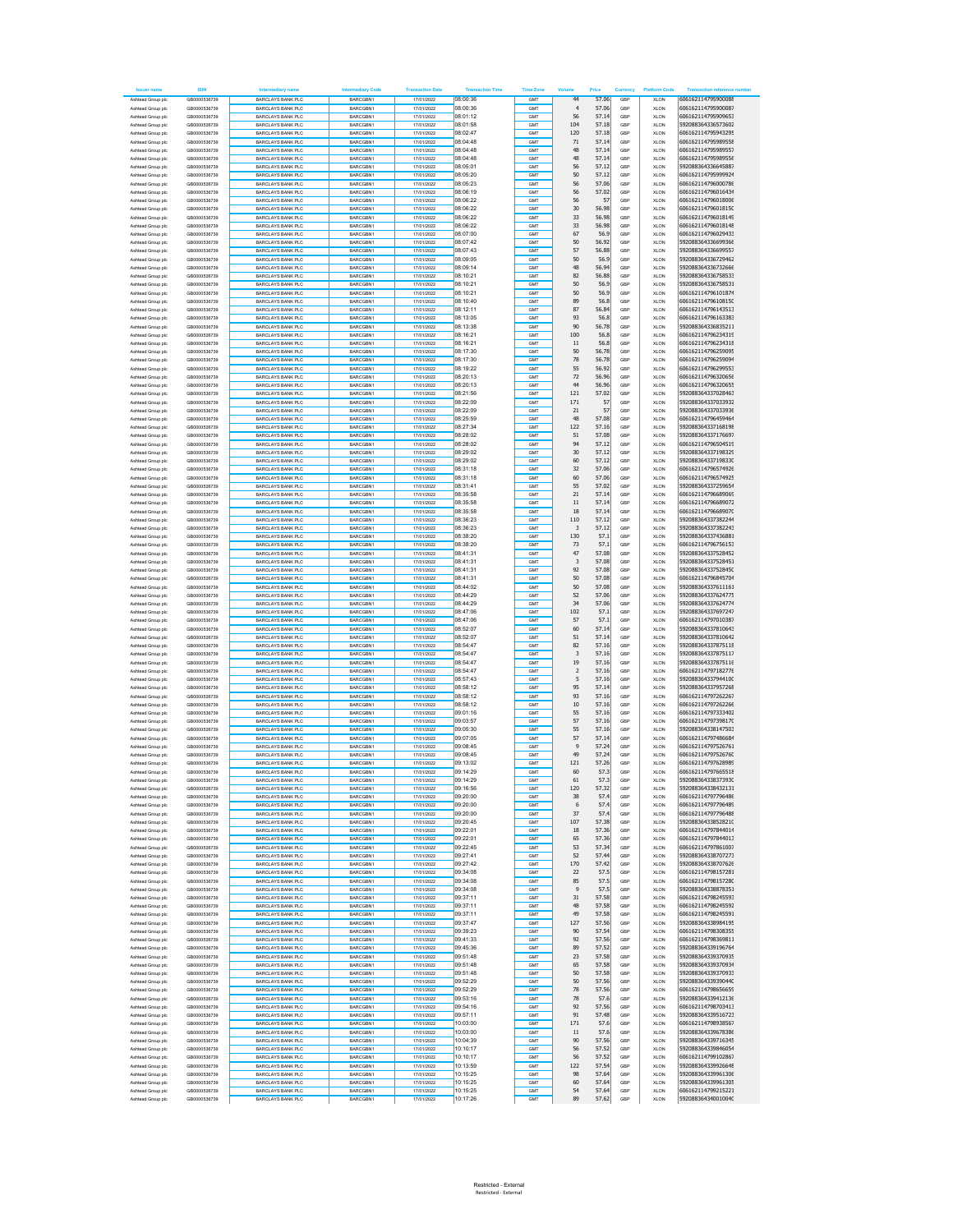| lessor nam                             | <b>ISIN</b>                  | diary nami                                           | Inte<br>diary Code          | <b>Transaction Date</b>  | <b>Transaction Time</b> | <b>Time Zone</b> | Volun                   | Price          | Currency   | <b>Platform Code</b>       | <b>Transaction refer</b><br>nce number   |
|----------------------------------------|------------------------------|------------------------------------------------------|-----------------------------|--------------------------|-------------------------|------------------|-------------------------|----------------|------------|----------------------------|------------------------------------------|
| Ashtead Group plc                      | GB0000536739                 | <b>BARCLAYS BANK PLC</b><br>BARCLAYS BANK PLC        | BARCGBN1                    | 17/01/2022               | 08:00:36<br>08:00:36    | GMT              | 44                      | 57.06<br>57.06 | GRP        | <b>XLON</b>                | 606162114795900088<br>606162114795900087 |
| Ashtead Group plc<br>Ashtead Group plc | GB0000536739<br>GB0000536739 | <b>BARCLAYS BANK PLC</b>                             | BARCGBN1<br>BARCGBN1        | 17/01/2022<br>17/01/2022 | 08:01:12                | GMT<br>GMT       | $\overline{4}$<br>56    | 57.14          | GBP<br>GBP | <b>XLON</b><br><b>XLON</b> | 606162114795909653                       |
| Ashtead Group plc                      | GR0000536739                 | <b>BARCLAYS BANK PLC</b>                             | BARCGBN1                    | 17/01/2022               | 08:01:58                | GMT              | 104                     | 57.18          | GRP        | <b>XLON</b>                | 592088364336573602                       |
| Ashtead Group plc                      | GB0000536739<br>GB0000536739 | <b>BARCLAYS BANK PLC</b>                             | BARCGBN1                    | 17/01/2022               | 08:02:47<br>08:04:48    | GMT<br>GMT       | 120                     | 57.18          | GBP<br>GRP | <b>XLON</b>                | 606162114795943295<br>606162114795989558 |
| Ashtead Group plc<br>Ashtead Group plc | GB0000536739                 | <b>BARCLAYS BANK PLC</b><br><b>BARCLAYS BANK PLC</b> | BARCGBN1<br>BARCGBN1        | 17/01/2022<br>17/01/2022 | 08:04:48                | GMT              | 71<br>48                | 57.14<br>57.14 | GBP        | XLON<br><b>XLON</b>        | 606162114795989557                       |
| Ashtead Group plc                      | GB0000536739                 | <b>BARCLAYS BANK PLC</b>                             | BARCGBN1                    | 17/01/2022               | 08:04:48                | GMT              | 48                      | 57.14          | GBF        | <b>XLON</b>                | 606162114795989556                       |
| Ashtead Group plc                      | GR0000536739                 | BARCLAYS BANK PLC                                    | <b>BARCGRN1</b>             | 17/01/2022               | 08:05:01                | GMT              | 56                      | 57.12          | GRP        | <b>XLON</b>                | 592088364336645887                       |
| Ashtead Group plc<br>Ashtead Group plc | GB0000536739<br>GB0000536739 | <b>BARCLAYS BANK PLC</b><br><b>BARCLAYS BANK PLC</b> | BARCGBN1<br>BARCGBN1        | 17/01/2022<br>17/01/2022 | 08:05:20<br>08:05:23    | GMT<br>GMT       | 50<br>56                | 57.12<br>57.06 | GBP<br>GBP | <b>XLON</b><br>XLON        | 606162114795999924<br>606162114796000786 |
| Ashtead Group plc                      | GR0000536739                 | <b>BARCLAYS BANK PLC</b>                             | BARCGBN1                    | 17/01/2022               | 08:06:19                | GMT              | 56                      | 57.02          | GBP        | <b>XLON</b>                | 606162114796016434                       |
| Ashtead Group plc                      | GB0000536739                 | <b>BARCLAYS BANK PLC</b>                             | BARCGBN1                    | 17/01/2022               | 08:06:22                | GMT              | 56                      | 57             | GBP        | <b>XLON</b>                | 606162114796018006                       |
| Ashtead Group plc<br>Ashtead Group plc | GR0000536739<br>GB0000536739 | BARCLAYS BANK PLC<br><b>BARCLAYS BANK PLC</b>        | BARCGBN1<br>BARCGBN1        | 17/01/2022<br>17/01/2022 | 08:06:22<br>08:06:22    | GMT<br>GMT       | 30<br>33                | 56.98<br>56.98 | GRP<br>GBP | <b>XLON</b><br><b>XLON</b> | 606162114796018150<br>606162114796018149 |
| Ashtead Group plc                      | GB0000536739                 | <b>BARCLAYS BANK PLC</b>                             | BARCGBN1                    | 17/01/2022               | 08:06:22                | GMT              | 33                      | 56.98          | GRP        | XLON                       | 606162114796018148                       |
| Ashtead Group plc                      | GB0000536739                 | <b>BARCLAYS BANK PLC</b>                             | BARCGBN1                    | 17/01/2022               | 08:07:00                | GMT              | 67                      | 56.9           | GBP        | <b>XLON</b>                | 606162114796029433                       |
| Ashtead Group plc                      | GB0000536739<br>GR0000536739 | <b>BARCLAYS BANK PLC</b>                             | BARCGBN1<br><b>BARCGRN1</b> | 17/01/2022               | 08:07:42                | GMT<br>GMT       | 50                      | 56.92          | GBP<br>GRP | <b>XLON</b>                | 592088364336699366                       |
| Ashtead Group plc<br>Ashtead Group plc | GB0000536739                 | BARCLAYS BANK PLC<br><b>BARCLAYS BANK PLC</b>        | BARCGBN1                    | 17/01/2022<br>17/01/2022 | 08:07:43<br>08:09:05    | GMT              | 57<br>50                | 56.88<br>56.9  | GBP        | <b>XLON</b><br><b>XLON</b> | 592088364336699557<br>592088364336729462 |
| Ashtead Group plc                      | GB0000536739                 | <b>BARCLAYS BANK PLC</b>                             | BARCGBN1                    | 17/01/2022               | 08:09:14                | GMT              | 48                      | 56.94          | GBP        | XLON                       | 592088364336732666                       |
| Ashtead Group plc                      | GR0000536739                 | <b>BARCLAYS BANK PLC</b>                             | BARCGBN1                    | 17/01/2022               | 08:10:21                | GMT              | 82                      | 56.88          | GBP        | <b>XLON</b>                | 592088364336758533                       |
| Ashtead Group plc<br>Ashtead Group plc | GB0000536739<br>GR0000536739 | <b>BARCLAYS BANK PLC</b><br>BARCLAYS BANK PLC        | BARCGBN1<br>BARCGBN1        | 17/01/2022<br>17/01/2022 | 08:10:21<br>08:10:21    | GMT<br>GMT       | 50<br>50                | 56.9<br>56.9   | GBP<br>GRP | <b>XLON</b><br><b>XLON</b> | 592088364336758531<br>606162114796101874 |
| Ashtead Group plc                      | GB0000536739                 | <b>BARCLAYS BANK PLC</b>                             | BARCGBN1                    | 17/01/2022               | 08:10:40                | GMT              | 89                      | 56.8           | GBP        | <b>XLON</b>                | 606162114796108150                       |
| Ashtead Group plc                      | GB0000536739                 | <b>BARCLAYS BANK PLC</b>                             | BARCGBN1                    | 17/01/2022               | 08:12:11                | GMT              | 87                      | 56.84          | GRP        | XLON                       | 606162114796143513                       |
| Ashtead Group plc<br>Ashtead Group plc | GB0000536739<br>GB0000536739 | <b>BARCLAYS BANK PLC</b><br><b>BARCLAYS BANK PLC</b> | BARCGBN1<br>BARCGBN1        | 17/01/2022<br>17/01/2022 | 08:13:05<br>08:13:38    | GMT<br>GMT       | 93<br>90                | 56.8<br>56.78  | GBP<br>GBP | <b>XLON</b><br><b>XLON</b> | 606162114796163383<br>592088364336835211 |
| Ashtead Group plc                      | GR0000536739                 | BARCLAYS BANK PLC                                    | <b>BARCGRN1</b>             | 17/01/2022               | 08:16:21                | GMT              | 100                     | 56.8           | GRP        | <b>XLON</b>                | 606162114796234319                       |
| Ashtead Group plc                      | GB0000536739                 | <b>BARCLAYS BANK PLO</b>                             | BARCGBN1                    | 17/01/2022               | 08:16:21                | GMT              | 11                      | 56.8           | GBP        | <b>XLON</b>                | 606162114796234318                       |
| Ashtead Group plc                      | GB0000536739                 | <b>BARCLAYS BANK PLC</b>                             | BARCGBN1                    | 17/01/2022               | 08:17:30                | GMT              | 50                      | 56.78          | GBP        | XLON                       | 606162114796259095                       |
| Ashtead Group plc<br>Ashtead Group plc | GB0000536739<br>GB0000536739 | <b>BARCLAYS BANK PLC</b><br><b>BARCLAYS BANK PLC</b> | BARCGBN1<br>BARCGBN1        | 17/01/2022<br>17/01/2022 | 08:17:30<br>08:19:22    | GMT<br>GMT       | 78<br>55                | 56.78<br>56.92 | GBP<br>GBP | <b>XLON</b><br><b>XLON</b> | 606162114796259094<br>606162114796299553 |
| Ashtead Group plc                      | GR0000536739                 | BARCLAYS BANK PLC                                    | BARCGBN1                    | 17/01/2022               | 08:20:13                | GMT              | 72                      | 56.96          | GRP        | <b>XLON</b>                | 606162114796320656                       |
| Ashtead Group plc                      | GB0000536739                 | <b>BARCLAYS BANK PLC</b>                             | BARCGBN1                    | 17/01/2022               | 08:20:13                | GMT              | 44                      | 56.96          | GBP        | <b>XLON</b>                | 606162114796320655                       |
| Ashtead Group plc                      | GB0000536739                 | <b>BARCLAYS BANK PLC</b>                             | BARCGBN1                    | 17/01/2022               | 08:21:56                | GMT              | 121<br>171              | 57.02          | GBP        | XLON                       | 592088364337028463                       |
| Ashtead Group plc<br>Ashtead Group plc | GB0000536739<br>GB0000536739 | <b>BARCLAYS BANK PLC</b><br><b>BARCLAYS BANK PLC</b> | BARCGBN1<br>BARCGBN1        | 17/01/2022<br>17/01/2022 | 08:22:09<br>08:22:09    | GMT<br>GMT       | 21                      | 57<br>57       | GBP<br>GBP | <b>XLON</b><br><b>XLON</b> | 592088364337033932<br>592088364337033936 |
| Ashtead Group plc                      | GR0000536739                 | BARCLAYS BANK PLC                                    | <b>BARCGRN1</b>             | 17/01/2022               | 08:25:59                | GMT              | 48                      | 57.08          | GRP        | <b>XLON</b>                | 606162114796459464                       |
| Ashtead Group plc                      | GB0000536739                 | <b>BARCLAYS BANK PLC</b>                             | BARCGBN1                    | 17/01/2022               | 08:27:34                | GMT              | 122                     | 57.16          | GBP        | <b>XLON</b>                | 592088364337168198                       |
| Ashtead Group plc                      | GB0000536739                 | <b>BARCLAYS BANK PLC</b>                             | BARCGBN1                    | 17/01/2022               | 08:28:02                | GMT              | 51                      | 57.08          | GBP        | XLON                       | 592088364337176697                       |
| Ashtead Group plc<br>Ashtead Group plc | GR0000536739<br>GB0000536739 | <b>BARCLAYS BANK PLC</b><br><b>BARCLAYS BANK PLC</b> | BARCGBN1<br>BARCGBN1        | 17/01/2022<br>17/01/2022 | 08:28:02<br>08:29:02    | GMT<br>GMT       | 94<br>30                | 57.12<br>57.12 | GBP<br>GBP | <b>XLON</b><br><b>XLON</b> | 606162114796504519<br>592088364337198329 |
| Ashtead Group plc                      | GR0000536739                 | BARCLAYS BANK PLC                                    | BARCGBN1                    | 17/01/2022               | 08:29:02                | GMT              | 60                      | 57.12          | GRP        | <b>XLON</b>                | 592088364337198330                       |
| Ashtead Group plc                      | GB0000536739                 | <b>BARCLAYS BANK PLC</b>                             | BARCGBN1                    | 17/01/2022               | 08:31:18                | GMT              | 32                      | 57.06          | GBP        | <b>XLON</b>                | 606162114796574926                       |
| Ashtead Group plc                      | GB0000536739                 | <b>BARCLAYS BANK PLC</b>                             | BARCGBN1                    | 17/01/2022               | 08:31:18                | GMT              | 60                      | 57.06          | GRP        | XLON                       | 606162114796574925                       |
| Ashtead Group plc<br>Ashtead Group plc | GB0000536739<br>GB0000536739 | <b>BARCLAYS BANK PLC</b><br><b>BARCLAYS BANK PLC</b> | BARCGBN1<br>BARCGBN1        | 17/01/2022<br>17/01/2022 | 08:31:41<br>08:35:58    | GMT<br>GMT       | 55<br>21                | 57.02<br>57.14 | GBP<br>GBF | <b>XLON</b><br><b>XLON</b> | 592088364337259654<br>606162114796689069 |
| Ashtead Group plc                      | GR0000536739                 | BARCLAYS BANK PLC                                    | <b>BARCGRN1</b>             | 17/01/2022               | 08:35:58                | GMT              | 11                      | 57.14          | GRP        | <b>XLON</b>                | 606162114796689072                       |
| Ashtead Group plc                      | GB0000536739                 | <b>BARCLAYS BANK PLO</b>                             | BARCGBN1                    | 17/01/2022               | 08:35:58                | GMT              | 18                      | 57.14          | GBP        | <b>XLON</b>                | 606162114796689070                       |
| Ashtead Group plc                      | GB0000536739                 | <b>BARCLAYS BANK PLC</b>                             | BARCGBN1                    | 17/01/2022               | 08:36:23                | GMT              | 110                     | 57.12          | GBP        | XLON                       | 592088364337382244                       |
| Ashtead Group plc                      | GB0000536739                 | <b>BARCLAYS BANK PLC</b>                             | BARCGBN1                    | 17/01/2022               | 08:36:23                | GMT              | 3                       | 57.12          | GBP        | <b>XLON</b>                | 592088364337382243                       |
| Ashtead Group plc<br>Ashtead Group plc | GB0000536739<br>GR0000536739 | <b>BARCLAYS BANK PLC</b><br>BARCLAYS BANK PLC        | BARCGBN1<br>BARCGBN1        | 17/01/2022<br>17/01/2022 | 08:38:20<br>08:38:20    | GMT<br>GMT       | 130<br>73               | 57.1<br>57.1   | GBF<br>GRP | <b>XLON</b><br><b>XLON</b> | 592088364337436881<br>606162114796756153 |
| Ashtead Group plc                      | GB0000536739                 | <b>BARCLAYS BANK PLC</b>                             | BARCGBN1                    | 17/01/2022               | 08:41:31                | GMT              | 47                      | 57.08          | GBP        | <b>XLON</b>                | 592088364337528452                       |
| Ashtead Group plc                      | GB0000536739                 | <b>BARCLAYS BANK PLC</b>                             | BARCGBN1                    | 17/01/2022               | 08:41:31                | GMT              | $\overline{\mathbf{3}}$ | 57.08          | GRP        | XLON                       | 592088364337528451                       |
| Ashtead Group plc                      | GB0000536739                 | <b>BARCLAYS BANK PLC</b>                             | BARCGBN1                    | 17/01/2022               | 08:41:31                | GMT              | 92                      | 57.08          | GBP        | <b>XLON</b>                | 592088364337528450                       |
| Ashtead Group plc<br>Ashtead Group plc | GB0000536739<br>GR0000536739 | <b>BARCLAYS BANK PLC</b><br>BARCLAYS BANK PLC        | BARCGBN1<br>BARCGBN1        | 17/01/2022<br>17/01/2022 | 08:41:31<br>08:44:02    | GMT<br>GMT       | 50<br>50                | 57.08<br>57.08 | GBP<br>GRP | <b>XLON</b><br><b>XLON</b> | 606162114796845704<br>592088364337611161 |
| Ashtead Group plc                      | GB0000536739                 | <b>BARCLAYS BANK PLC</b>                             | BARCGBN1                    | 17/01/2022               | 08:44:29                | GMT              | 52                      | 57.06          | GBP        | <b>XLON</b>                | 592088364337624775                       |
| Ashtead Group plc                      | GB0000536739                 | <b>BARCLAYS BANK PLC</b>                             | BARCGBN1                    | 17/01/2022               | 08:44:29                | GMT              | 34                      | 57.06          | GBP        | XLON                       | 592088364337624774                       |
| Ashtead Group plc                      | GB0000536739                 | <b>BARCLAYS BANK PLC</b>                             | BARCGBN1                    | 17/01/2022               | 08:47:06                | GMT              | 102                     | 57.1           | GBP        | <b>XLON</b>                | 592088364337697247                       |
| Ashtead Group plc<br>Ashtead Group plc | GB0000536739<br>GR0000536739 | <b>BARCLAYS BANK PLC</b><br>BARCLAYS BANK PLC        | BARCGBN1<br>BARCGBN1        | 17/01/2022<br>17/01/2022 | 08:47:06<br>08:52:07    | GMT<br>GMT       | 57<br>60                | 57.1<br>57.14  | GBP<br>GRP | <b>XLON</b><br><b>XLON</b> | 606162114797010387<br>592088364337810643 |
| Ashtead Group plc                      | GB0000536739                 | <b>BARCLAYS BANK PLC</b>                             | BARCGBN1                    | 17/01/2022               | 08:52:07                | GMT              | 51                      | 57.14          | GBP        | <b>XLON</b>                | 592088364337810642                       |
| Ashtead Group plc                      | GB0000536739                 | <b>BARCLAYS BANK PLC</b>                             | BARCGBN1                    | 17/01/2022               | 08:54:47                | GMT              | 82                      | 57.16          | GBP        | XLON                       | 592088364337875118                       |
| Ashtead Group plc                      | GB0000536739                 | <b>BARCLAYS BANK PLC</b>                             | BARCGBN1                    | 17/01/2022               | 08:54:47                | GMT              | 3                       | 57.16          | GBP        | <b>XLON</b>                | 592088364337875117                       |
| Ashtead Group plc<br>Ashtead Group plc | GB0000536739<br>GR0000536739 | <b>BARCLAYS BANK PLC</b><br>BARCLAYS BANK PLC        | BARCGBN1<br>BARCGBN1        | 17/01/2022<br>17/01/2022 | 08:54:47<br>08:54:47    | GMT<br>GMT       | 19<br>$\overline{2}$    | 57.16<br>57.16 | GBF<br>GRP | <b>XLON</b><br><b>XLON</b> | 592088364337875116<br>606162114797182776 |
| Ashtead Group plc                      | GB0000536739                 | <b>BARCLAYS BANK PLO</b>                             | BARCGBN1                    | 17/01/2022               | 08:57:43                | GMT              | 5                       | 57.16          | GBP        | <b>XLON</b>                | 592088364337944100                       |
| Ashtead Group plc                      | GB0000536739                 | <b>BARCLAYS BANK PLC</b>                             | BARCGBN1                    | 17/01/2022               | 08:58:12                | GMT              | 95                      | 57.14          | GBP        | XLON                       | 592088364337957268                       |
| Ashtead Group plc                      | GR0000536739                 | <b>BARCLAYS BANK PLC</b>                             | BARCGBN1                    | 17/01/2022               | 08:58:12                | GMT              | 93                      | 57.16          | GBP        | <b>XLON</b>                | 606162114797262267                       |
| Ashtead Group plc<br>Ashtead Group plc | GB0000536739<br>GR0000536739 | <b>BARCLAYS BANK PLC</b><br>BARCLAYS BANK PLC        | BARCGBN1<br>BARCGBN1        | 17/01/2022<br>17/01/2022 | 08:58:12<br>09:01:16    | GMT<br>GMT       | 10<br>55                | 57.16<br>57.16 | GBP<br>GRP | <b>XLON</b><br><b>XLON</b> | 606162114797262266<br>606162114797333402 |
| Ashtead Group plc                      | GB0000536739                 | <b>BARCLAYS BANK PLC</b>                             | BARCGBN1                    | 17/01/2022               | 09:03:57                | GMT              | 57                      | 57.16          | GBP        | XLON                       | 606162114797398170                       |
| Ashtead Group plc                      | GB0000536739                 | <b>BARCLAYS BANK PLC</b>                             | BARCGBN1                    | 17/01/2022               | 09:05:30                | GMT              | 55                      | 57.16          | GBP        | XLON                       | 592088364338147503                       |
| Ashtead Group plc                      | GB0000536739                 | <b>BARCLAYS BANK PLC</b>                             | BARCGBN1                    | 17/01/2022               | 09:07:05                | GMT              | 57                      | 57.14          | GBP        | <b>XLON</b>                | 606162114797486684                       |
| Ashtead Group plc<br>Ashtead Group plc | GB0000536739<br>GR0000536739 | <b>BARCLAYS BANK PLC</b><br>BARCLAYS BANK PLC        | BARCGBN1<br><b>BARCGRN1</b> | 17/01/2022<br>17/01/2022 | 09:08:45<br>09:08:45    | GMT<br>GMT       | 9<br>49                 | 57.24<br>57.24 | GBF<br>GRP | <b>XLON</b><br><b>XLON</b> | 606162114797526761<br>606162114797526760 |
| Ashtead Group plc                      | GB0000536739                 | <b>BARCLAYS BANK PLC</b>                             | BARCGBN1                    | 17/01/2022               | 09:13:02                | GMT              | 121                     | 57.26          | GBP        | <b>XLON</b>                | 606162114797628989                       |
| Ashtead Group plc                      | GB0000536739                 | <b>BARCLAYS BANK PLC</b>                             | BARCGBN1                    | 17/01/2022               | 09:14:29                | GMT              | 60                      | 57.3           | GBP        | <b>XLON</b>                | 606162114797665518                       |
| Ashtead Group plc.                     | GB0000536739                 | <b>BARCLAYS BANK PLC</b>                             | BARCGBN1                    | 17/01/2022               | 09:14:29                | GMT              | 61                      | 57.3           | GBP        | <b>XLON</b>                | 592088364338373930                       |
| Ashtead Group plc<br>Ashtead Group plc | GB0000536739<br>GB0000536739 | <b>BARCLAYS BANK PLC</b><br><b>BARCLAYS BANK PLC</b> | BARCGBN1<br>BARCGBN1        | 17/01/2022<br>17/01/2022 | 09:16:56<br>09:20:00    | GMT<br>GMT       | 120<br>38               | 57.32<br>57.4  | GBF<br>GRP | <b>XLON</b><br><b>XLON</b> | 592088364338432131<br>606162114797796486 |
| Ashtead Group plc                      | GB0000536739                 | BARCLAYS BANK PLC                                    | BARCGBN1                    | 17/01/2022               | 09:20:00                | GMT              | 6                       | 57.4           | GBP        | <b>XLON</b>                | 606162114797796489                       |
| Ashtead Group plc                      | GB0000536739                 | BARCLAYS BANK PLC                                    | BARCGBN1                    | 17/01/2022               | 09:20:00                | GMT              | 37                      | 57.4           | GBP        | XLON                       | 606162114797796488                       |
| Ashtead Group plc<br>Ashtead Group plc | GB0000536739<br>GB0000536739 | <b>BARCLAYS BANK PLC</b><br><b>BARCLAYS BANK PLC</b> | BARCGBN1<br>BARCGBN1        | 17/01/2022<br>17/01/2022 | 09:20:45<br>09:22:01    | GMT<br>GMT       | 107<br>18               | 57.38<br>57.36 | GBP<br>GBF | <b>XLON</b><br><b>XLON</b> | 592088364338528210<br>606162114797844014 |
| Ashtead Group plc                      | GR0000536739                 | <b>BARCLAYS BANK PLC</b>                             | BARCGBN1                    | 17/01/2022               | 09:22:01                | GMT              | 65                      | 57.36          | GRP        | <b>XLON</b>                | 606162114797844013                       |
| Ashtead Group plc                      | GB0000536739                 | <b>BARCLAYS BANK PLC</b>                             | BARCGBN1                    | 17/01/2022               | 09:22:45                | GMT              | 53                      | 57.34          | GBP        | <b>XLON</b>                | 606162114797861007                       |
| Ashtead Group plc                      | GR0000536739                 | <b>BARCLAYS BANK PLC</b>                             | BARCGBN1                    | 17/01/2022               | 09:27:41                | GMT              | 52                      | 57.44          | GBP        | XLON                       | 592088364338707273                       |
| Ashtead Group plc<br>Ashtead Group plc | GR0000536739<br>GB0000536739 | <b>BARCLAYS BANK PLC</b><br><b>BARCLAYS BANK PLC</b> | BARCGBN1<br>BARCGBN1        | 17/01/2022<br>17/01/2022 | 09:27:42<br>09:34:08    | GMT<br>GMT       | 170<br>22               | 57.42<br>57.5  | GBP<br>GBF | <b>XLON</b><br><b>XLON</b> | 592088364338707626<br>606162114798157281 |
| Ashtead Group plc                      | GR0000536739                 | <b>BARCLAYS BANK PLC</b>                             | <b>BARCGRN1</b>             | 17/01/2022               | 09:34:08                | GMT              | 85                      | 57.5           | GRP        | <b>XLON</b>                | 606162114798157280                       |
| Ashtead Group plc                      | GB0000536739                 | <b>BARCLAYS BANK PLC</b>                             | BARCGBN1                    | 17/01/2022               | 09:34:08                | GMT              | 9                       | 57.5           | GBP        | XLON                       | 592088364338878351                       |
| Ashtead Group plc                      | GB0000536739                 | <b>BARCLAYS BANK PLC</b>                             | BARCGBN1                    | 17/01/2022               | 09:37:11                | GMT              | 31                      | 57.58          | GBP        | XLON                       | 606162114798245593<br>606162114798245592 |
| Ashtead Group plc<br>Ashtead Group plc | GB0000536739<br>GB0000536739 | <b>BARCLAYS BANK PLC</b><br><b>BARCLAYS BANK PLC</b> | BARCGBN1<br>BARCGBN1        | 17/01/2022<br>17/01/2022 | 09:37:11<br>09:37:11    | GMT<br>GMT       | 48<br>49                | 57.58<br>57.58 | GBP<br>GBF | <b>XLON</b><br><b>XLON</b> | 606162114798245591                       |
| Ashtead Group plc                      | GR0000536739                 | <b>BARCLAYS BANK PLC</b>                             | BARCGBN1                    | 17/01/2022               | 09:37:47                | GMT              | 127                     | 57.56          | GRP        | <b>XLON</b>                | 592088364338984195                       |
| Ashtead Group plc                      | GB0000536739                 | <b>BARCLAYS BANK PLC</b>                             | BARCGBN1                    | 17/01/2022               | 09:39:23                | GMT              | 90                      | 57.54          | GBP        | <b>XLON</b>                | 606162114798308355                       |
| Ashtead Group plc                      | GB0000536739                 | <b>BARCLAYS BANK PLC</b>                             | BARCGBN1                    | 17/01/2022               | 09:41:33                | GMT              | 92                      | 57.56          | GBP        | XLON                       | 606162114798369811                       |
| Ashtead Group plc<br>Ashtead Group plc | GR0000536739<br>GB0000536739 | <b>BARCLAYS BANK PLC</b><br><b>BARCLAYS BANK PLC</b> | BARCGBN1<br>BARCGBN1        | 17/01/2022<br>17/01/2022 | 09:45:36<br>09:51:48    | GMT<br>GMT       | 89<br>23                | 57.52<br>57.58 | GBP<br>GBF | <b>XLON</b><br><b>XLON</b> | 592088364339196764<br>592088364339370935 |
| Ashtead Group plc                      | GR0000536739                 | <b>BARCLAYS BANK PLC</b>                             | <b>BARCGRN1</b>             | 17/01/2022               | 09:51:48                | GMT              | 65                      | 57.58          | GRP        | <b>XLON</b>                | 592088364339370934                       |
| Ashtead Group plc                      | GB0000536739                 | <b>BARCLAYS BANK PLC</b>                             | BARCGBN1                    | 17/01/2022               | 09:51:48                | GMT              | 50                      | 57.58          | GBP        | XLON                       | 592088364339370933                       |
| Ashtead Group plc                      | GB0000536739                 | <b>BARCLAYS BANK PLC</b>                             | BARCGBN1                    | 17/01/2022               | 09:52:29                | GMT              | 50                      | 57.56          | GBP        | XLON                       | 592088364339390440                       |
| Ashtead Group plc<br>Ashtead Group plc | GB0000536739<br>GB0000536739 | <b>BARCLAYS BANK PLC</b><br><b>BARCLAYS BANK PLC</b> | BARCGBN1<br>BARCGBN1        | 17/01/2022<br>17/01/2022 | 09:52:29<br>09:53:16    | GMT<br>GMT       | 78<br>78                | 57.56<br>57.6  | GBP<br>GBF | <b>XLON</b><br><b>XLON</b> | 606162114798656659<br>592088364339412136 |
| Ashtead Group plc                      | GB0000536739                 | <b>BARCLAYS BANK PLC</b>                             | BARCGBN1                    | 17/01/2022               | 09:54:16                | GMT              | 92                      | 57.56          | GRP        | <b>XLON</b>                | 606162114798703413                       |
| Ashtead Group plc                      | GB0000536739                 | <b>BARCLAYS BANK PLC</b>                             | BARCGBN1                    | 17/01/2022               | 09:57:11                | GMT              | 91                      | 57.48          | GBP        | <b>XLON</b>                | 592088364339516723                       |
| Ashtead Group plc                      | GB0000536739                 | <b>BARCLAYS BANK PLC</b>                             | BARCGBN1                    | 17/01/2022               | 10:03:00                | GMT              | 171                     | 57.6           | GBP        | XLON                       | 606162114798938567                       |
| Ashtead Group plc<br>Ashtead Group plc | GB0000536739<br>GB0000536739 | <b>BARCLAYS BANK PLC</b><br><b>BARCLAYS BANK PLC</b> | BARCGBN1<br>BARCGBN1        | 17/01/2022<br>17/01/2022 | 10:03:00<br>10:04:39    | GMT<br>GMT       | 11<br>90                | 57.6<br>57.56  | GBP<br>GBF | <b>XLON</b><br><b>XLON</b> | 592088364339678386<br>592088364339716345 |
| Ashtead Group plc                      | GB0000536739                 | <b>BARCLAYS BANK PLC</b>                             | BARCGBN1                    | 17/01/2022               | 10:10:17                | GMT              | 56                      | 57.52          | GRP        | <b>XLON</b>                | 592088364339846054                       |
| Ashtead Group plc                      | GB0000536739                 | <b>BARCLAYS BANK PLC</b>                             | BARCGBN1                    | 17/01/2022               | 10:10:17                | GMT              | 56                      | 57.52          | GBP        | XLON                       | 606162114799102867                       |
| Ashtead Group plc                      | GB0000536739                 | <b>BARCLAYS BANK PLC</b>                             | BARCGBN1                    | 17/01/2022               | 10:13:59                | GMT              | 122                     | 57.54          | GBP        | XLON                       | 592088364339926648                       |
| Ashtead Group plc<br>Ashtead Group plc | GB0000536739<br>GB0000536739 | <b>BARCLAYS BANK PLC</b><br><b>BARCLAYS BANK PLC</b> | BARCGBN1<br>BARCGBN1        | 17/01/2022<br>17/01/2022 | 10:15:25<br>10:15:25    | GMT<br>GMT       | 98<br>60                | 57.64<br>57.64 | GBP<br>GBF | <b>XLON</b><br><b>XLON</b> | 592088364339961306<br>592088364339961305 |
| Ashtead Group plc                      | GB0000536739                 | <b>BARCLAYS BANK PLC</b>                             | BARCGBN1                    | 17/01/2022               | 10:15:25                | GMT              | 54                      | 57.64          | GRP        | <b>XLON</b>                | 606162114799215221                       |
| Ashtead Group plc                      | GB0000536739                 | <b>BARCLAYS BANK PLC</b>                             | BARCGBN1                    | 17/01/2022               | 10:17:26                | GMT              | 89                      | 57.62          | GBP        | <b>XLON</b>                | 592088364340010040                       |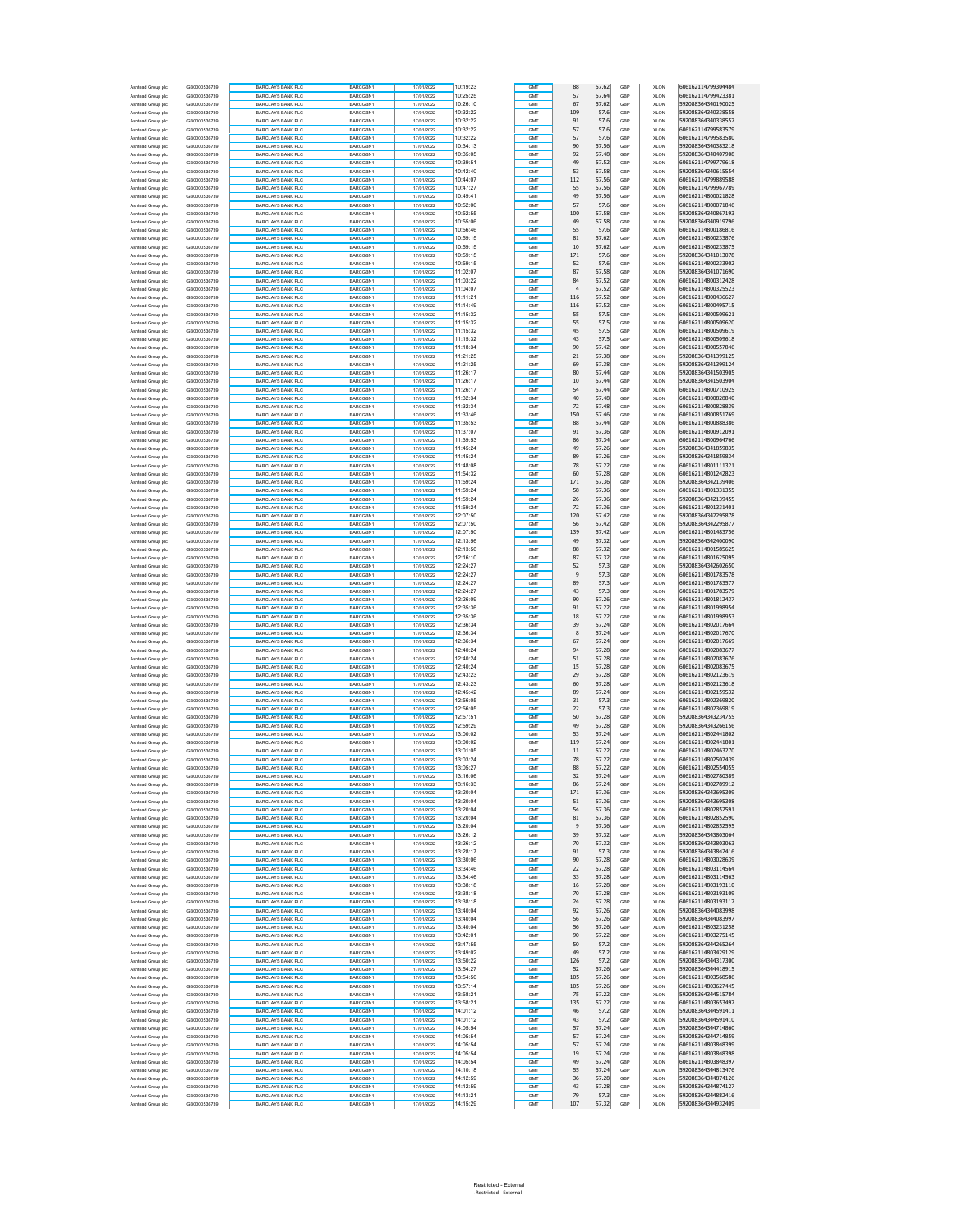| Ashtead Group plc                      | GB0000536739                 | <b>BARCLAYS BANK PLC</b>                             | BARCGBN1                    | 17/01/2022               | 10:19:23             | GMT               | 88             | 57.62          | GBP        | <b>XLON</b>                | 606162114799304484                       |
|----------------------------------------|------------------------------|------------------------------------------------------|-----------------------------|--------------------------|----------------------|-------------------|----------------|----------------|------------|----------------------------|------------------------------------------|
| Ashtead Group plc                      | GB0000536739                 | BARCLAYS BANK PLC                                    | BARCGBN1                    | 17/01/2022               | 10:25:25             | GMT               | 57             | 57.64          | GBP        | <b>XLON</b>                | 606162114799423381                       |
| Ashtead Group plc                      | GB0000536739                 | BARCLAYS BANK PLC                                    | BARCGBN1                    | 17/01/2022               | 10:26:10             | GMT               | 67             | 57.62          | GBP        | XLON                       | 592088364340190025                       |
| Ashtead Group plc                      | GB0000536739                 | <b>BARCLAYS BANK PLC</b>                             | BARCGBN1                    | 17/01/2022               | 10:32:22             | GMT               | 109            | 57.6           | GBP        | XLON                       | 592088364340338558                       |
| Ashtead Group plc                      | GB0000536739                 | <b>BARCLAYS BANK PLC</b>                             | BARCGBN1                    | 17/01/2022               | 10:32:22             | GMT               | 91             | 57.6           | GBP        | <b>XLON</b>                | 592088364340338557                       |
| Ashtead Group plc                      | GB0000536739                 | <b>BARCLAYS BANK PLC</b>                             | <b>BARCGBN1</b>             | 17/01/2022               | 10:32:22             | GMT               | 57             | 57.6           | GBF        | <b>XLON</b>                | 606162114799583579                       |
| Ashtead Group plc                      | GB0000536739<br>GB0000536739 | <b>BARCLAYS BANK PLC</b>                             | BARCGBN1                    | 17/01/2022               | 10:32:22<br>10:34:13 | GMT<br>GMT        | 57<br>90       | 57.6<br>57.56  | GRP<br>GBP | XLON                       | 606162114799583580<br>592088364340383218 |
| Ashtead Group plc<br>Ashtead Group plc | GB0000536739                 | <b>BARCLAYS BANK PLC</b><br><b>BARCLAYS BANK PLC</b> | BARCGBN1<br>BARCGBN1        | 17/01/2022<br>17/01/2022 | 10:35:05             | GMT               | 92             | 57.48          | GBP        | XLON<br>XLON               | 592088364340407908                       |
| Ashtead Group plc                      | GB0000536739                 | <b>BARCLAYS BANK PLC</b>                             | BARCGBN1                    | 17/01/2022               | 10:39:51             | GMT               | 49             | 57.52          | GBP        | <b>XLON</b>                | 606162114799779618                       |
| Ashtead Group plc                      | GB0000536739                 | <b>BARCLAYS BANK PLC</b>                             | BARCGBN1                    | 17/01/2022               | 10:42:40             | GMT               | 53             | 57.58          | GBF        | <b>XLON</b>                | 592088364340615554                       |
| Ashtead Group plc                      | GB0000536739                 | <b>BARCLAYS BANK PLC</b>                             | BARCGBN1                    | 17/01/2022               | 10:44:07             | GMT               | 112            | 57.56          | GBP        | <b>XLON</b>                | 606162114799889588                       |
| Ashtead Group plc                      | GB0000536739                 | <b>BARCLAYS BANK PLC</b>                             | BARCGBN1                    | 17/01/2022               | 10:47:27             | GMT               | 55             | 57.56          | GBF        | XLON                       | 606162114799967789                       |
| Ashtead Group plc                      | GB0000536739                 | <b>BARCLAYS BANK PLC</b>                             | BARCGBN1                    | 17/01/2022               | 10:49:41             | GMT               | 49             | 57.56          | GBP        | <b>XLON</b>                | 606162114800021828                       |
| Ashtead Group plc                      | GB0000536739                 | <b>BARCLAYS BANK PLC</b>                             | BARCGBN1                    | 17/01/2022               | 10:52:00             | GMT               | 57             | 57.6           | GBP        | <b>XLON</b>                | 606162114800071846                       |
| Ashtead Group plc                      | GB0000536739                 | <b>BARCLAYS BANK PLC</b>                             | BARCGBN1                    | 17/01/2022               | 10:52:55             | GMT               | 100            | 57.58          | GBF        | <b>XLON</b>                | 592088364340867193                       |
| Ashtead Group plc                      | GB0000536739                 | <b>BARCLAYS BANK PLC</b>                             | BARCGBN1                    | 17/01/2022               | 10:55:06             | GMT<br>GMT        | 49             | 57.58          | GRP<br>GBP | XLON                       | 592088364340919796                       |
| Ashtead Group plc<br>Ashtead Group plc | GB0000536739<br>GB0000536739 | <b>BARCLAYS BANK PLC</b><br><b>BARCLAYS BANK PLC</b> | BARCGBN1<br>BARCGBN1        | 17/01/2022<br>17/01/2022 | 10:56:46<br>10:59:15 | GMT               | 55<br>81       | 57.6<br>57.62  | GBP        | XLON<br>XLON               | 606162114800186816<br>606162114800233876 |
| Ashtead Group plc                      | GB0000536739                 | <b>BARCLAYS BANK PLC</b>                             | BARCGBN1                    | 17/01/2022               | 10:59:15             | GMT               | 10             | 57.62          | GBP        | <b>XLON</b>                | 606162114800233875                       |
| Ashtead Group plc                      | GB0000536739                 | <b>BARCLAYS BANK PLC</b>                             | <b>BARCGBN1</b>             | 17/01/2022               | 10:59:15             | GMT               | 171            | 57.6           | GBF        | <b>XLON</b>                | 592088364341013078                       |
| Ashtead Group plc                      | GB0000536739                 | <b>BARCLAYS BANK PLC</b>                             | BARCGBN1                    | 17/01/2022               | 10:59:15             | GMT               | 52             | 57.6           | GBP        | <b>XLON</b>                | 606162114800233902                       |
| Ashtead Group plc                      | GB0000536739                 | <b>BARCLAYS BANK PLC</b>                             | BARCGBN1                    | 17/01/2022               | 11:02:07             | GMT               | 87             | 57.58          | GBF        | XLON                       | 592088364341071690                       |
| Ashtead Group plc                      | GB0000536739                 | <b>BARCLAYS BANK PLC</b>                             | BARCGBN1                    | 17/01/2022               | 11:03:22             | GMT               | 84             | 57.52          | GBP        | <b>XLON</b>                | 606162114800312428                       |
| Ashtead Group plc                      | GB0000536739                 | <b>BARCLAYS BANK PLC</b>                             | BARCGBN1                    | 17/01/2022               | 11:04:07             | GMT               | $\overline{4}$ | 57.52          | GBP        | <b>XLON</b>                | 606162114800325523                       |
| Ashtead Group plc                      | GB0000536739                 | <b>BARCLAYS BANK PLC</b>                             | BARCGBN1                    | 17/01/2022               | 11:11:21             | GMT               | 116            | 57.52          | GBF        | <b>XLON</b>                | 606162114800436627                       |
| Ashtead Group plc                      | GB0000536739                 | <b>BARCLAYS BANK PLC</b>                             | BARCGBN1                    | 17/01/2022               | 11:14:49             | GMT               | 116            | 57.52          | GRP        | XLON                       | 606162114800495715                       |
| Ashtead Group plc                      | GB0000536739                 | <b>BARCLAYS BANK PLC</b>                             | BARCGBN1                    | 17/01/2022               | 11:15:32             | GMT               | 55<br>55       | 57.5           | GBP        | XLON                       | 606162114800509621                       |
| Ashtead Group plc                      | GB0000536739<br>GB0000536739 | <b>BARCLAYS BANK PLC</b><br><b>BARCLAYS BANK PLC</b> | BARCGBN1<br>BARCGBN1        | 17/01/2022<br>17/01/2022 | 11:15:32<br>11:15:32 | GMT<br>GMT        | 45             | 57.5<br>57.5   | GBP<br>GBP | XLON<br><b>XLON</b>        | 606162114800509620<br>606162114800509619 |
| Ashtead Group plc<br>Ashtead Group plc | GB0000536739                 | <b>BARCLAYS BANK PLC</b>                             | BARCGBN1                    | 17/01/2022               | 11:15:32             | GMT               | 43             | 57.5           | GBF        | <b>XLON</b>                | 606162114800509618                       |
| Ashtead Group plc                      | GB0000536739                 | <b>BARCLAYS BANK PLC</b>                             | BARCGBN1                    | 17/01/2022               | 11:18:34             | GMT               | 90             | 57.42          | GBP        | <b>XLON</b>                | 606162114800557846                       |
| Ashtead Group plc                      | GB0000536739                 | <b>BARCLAYS BANK PLC</b>                             | BARCGBN1                    | 17/01/2022               | 11:21:25             | GMT               | $21\,$         | 57.38          | GBF        | XLON                       | 592088364341399125                       |
| Ashtead Group plc                      | GB0000536739                 | <b>BARCLAYS BANK PLC</b>                             | BARCGBN1                    | 17/01/2022               | 11:21:25             | GMT               | 69             | 57.38          | GBP        | <b>XLON</b>                | 592088364341399124                       |
| Ashtead Group plc                      | GB0000536739                 | <b>BARCLAYS BANK PLC</b>                             | BARCGBN1                    | 17/01/2022               | 11:26:17             | GMT               | 80             | 57.44          | GBP        | <b>XLON</b>                | 592088364341503905                       |
| Ashtead Group plc                      | GB0000536739                 | <b>BARCLAYS BANK PLC</b>                             | BARCGBN1                    | 17/01/2022               | 11:26:17             | GMT               | $10\,$         | 57.4           | GBF        | <b>XLON</b>                | 592088364341503904                       |
| Ashtead Group plc                      | GB0000536739                 | <b>BARCLAYS BANK PLC</b>                             | BARCGBN1                    | 17/01/2022               | 11:26:17             | GMT               | 54             | 57.44          | GRP        | XLON                       | 606162114800710925                       |
| Ashtead Group plc                      | GB0000536739                 | <b>BARCLAYS BANK PLC</b>                             | BARCGBN1                    | 17/01/2022               | 11:32:34             | GMT               | 40             | 57.48          | GBP        | XLON                       | 606162114800828840                       |
| Ashtead Group plc                      | GB0000536739                 | <b>BARCLAYS BANK PLC</b>                             | BARCGBN1                    | 17/01/2022               | 11:32:34             | GMT               | 72             | 57.48          | GBP        | XLON                       | 606162114800828839                       |
| Ashtead Group plc                      | GB0000536739                 | <b>BARCLAYS BANK PLC</b>                             | BARCGBN1                    | 17/01/2022               | 11:33:46             | GMT               | 150            | 57.46          | GBP        | <b>XLON</b>                | 606162114800851769                       |
| Ashtead Group plc                      | GB0000536739<br>GR0000536739 | <b>BARCLAYS BANK PLC</b><br>BARCLAYS BANK PLC        | <b>BARCGBN1</b><br>BARCGBN1 | 17/01/2022<br>17/01/2022 | 11:35:53<br>11:37:07 | GMT<br>GMT        | 88<br>91       | 57.44<br>57.36 | GBF<br>GBP | <b>XLON</b><br><b>XLON</b> | 606162114800888386<br>606162114800912091 |
| Ashtead Group plc<br>Ashtead Group plc | GB0000536739                 | <b>BARCLAYS BANK PLC</b>                             | BARCGBN1                    | 17/01/2022               | 11:39:53             | GMT               | 86             | 57.34          | GBF        | XLON                       | 606162114800964766                       |
| Ashtead Group plc                      | GB0000536739                 | <b>BARCLAYS BANK PLC</b>                             | BARCGBN1                    | 17/01/2022               | 11:45:24             | GMT               | 49             | 57.26          | GBP        | <b>XLON</b>                | 592088364341859835                       |
| Ashtead Group plc                      | GB0000536739                 | <b>BARCLAYS BANK PLC</b>                             | BARCGBN1                    | 17/01/2022               | 11:45:24             | GMT               | 89             | 57.26          | GBP        | <b>XLON</b>                | 592088364341859834                       |
| Ashtead Group plc                      | GB0000536739                 | <b>BARCLAYS BANK PLC</b>                             | BARCGBN1                    | 17/01/2022               | 11:48:08             | GMT               | 78             | 57.22          | GBF        | <b>XLON</b>                | 606162114801111321                       |
| Ashtead Group plc                      | GB0000536739                 | <b>BARCLAYS BANK PLC</b>                             | BARCGBN1                    | 17/01/2022               | 11:54:32             | GMT               | 60             | 57.28          | GRP        | XLON                       | 606162114801242823                       |
| Ashtead Group plc                      | GB0000536739                 | <b>BARCLAYS BANK PLC</b>                             | BARCGBN1                    | 17/01/2022               | 11:59:24             | GMT               | 171            | 57.36          | GBP        | XLON                       | 592088364342139406                       |
| Ashtead Group plc                      | GB0000536739                 | BARCLAYS BANK PLC                                    | BARCGBN1                    | 17/01/2022               | 11:59:24             | GMT               | 58             | 57.36          | GBP        | XLON                       | 606162114801331355                       |
| Ashtead Group plc                      | GB0000536739                 | <b>BARCLAYS BANK PLC</b>                             | BARCGBN1                    | 17/01/2022               | 11:59:24             | GMT               | 26             | 57.36          | GBP        | <b>XLON</b>                | 592088364342139455                       |
| Ashtead Group plc                      | GB0000536739                 | <b>BARCLAYS BANK PLC</b>                             | BARCGBN1                    | 17/01/2022               | 11:59:24             | GMT               | 72             | 57.36          | GBF        | <b>XLON</b>                | 606162114801331401                       |
| Ashtead Group plc                      | GB0000536739                 | <b>BARCLAYS BANK PLC</b>                             | BARCGBN1                    | 17/01/2022               | 12:07:50             | GMT               | 120            | 57.42          | GBP        | <b>XLON</b>                | 592088364342295878                       |
| Ashtead Group plc                      | GB0000536739                 | <b>BARCLAYS BANK PLC</b>                             | BARCGBN1                    | 17/01/2022               | 12:07:50             | GMT               | 56             | 57.42          | GBP        | XLON                       | 592088364342295877                       |
| Ashtead Group plc                      | GB0000536739                 | <b>BARCLAYS BANK PLC</b>                             | BARCGBN1                    | 17/01/2022               | 12:07:50<br>12:13:56 | GMT<br>GMT        | 139<br>49      | 57.42<br>57.32 | GBP        | <b>XLON</b>                | 606162114801483756<br>592088364342400090 |
| Ashtead Group plc<br>Ashtead Group plc | GB0000536739<br>GB0000536739 | <b>BARCLAYS BANK PLC</b><br><b>BARCLAYS BANK PLC</b> | BARCGBN1<br>BARCGBN1        | 17/01/2022<br>17/01/2022 | 12:13:56             | GMT               | 88             | 57.32          | GBP<br>GBF | <b>XLON</b><br><b>XLON</b> | 606162114801585625                       |
| Ashtead Group plc                      | GB0000536739                 | <b>BARCLAYS BANK PLC</b>                             | BARCGBN1                    | 17/01/2022               | 12:16:10             | GMT               | 87             | 57.32          | GRP        | XLON                       | 606162114801625095                       |
| Ashtead Group plc                      | GB0000536739                 | <b>BARCLAYS BANK PLC</b>                             | BARCGBN1                    | 17/01/2022               | 12:24:27             | GMT               | 52             | 57.3           | GBP        | XLON                       | 592088364342602650                       |
| Ashtead Group plc                      | GB0000536739                 | <b>BARCLAYS BANK PLC</b>                             | BARCGBN1                    | 17/01/2022               | 12:24:27             | GMT               | 9              | 57.3           | GBP        | XLON                       | 606162114801783578                       |
| Ashtead Group plc                      | GB0000536739                 | <b>BARCLAYS BANK PLC</b>                             | BARCGBN1                    | 17/01/2022               | 12:24:27             | GMT               | 89             | 57.3           | GBP        | <b>XLON</b>                | 606162114801783577                       |
| Ashtead Group plc                      | GB0000536739                 | <b>BARCLAYS BANK PLC</b>                             | BARCGBN1                    | 17/01/2022               | 12:24:27             | GMT               | 43             | 57.3           | GBF        | <b>XLON</b>                | 606162114801783579                       |
| Ashtead Group plo                      | GR0000536739                 | <b>BARCLAYS BANK PLC</b>                             | BARCGBN1                    | 17/01/2022               | 12:26:09             | GMT               | 90             | 57.26          | GBP        | <b>XLON</b>                | 606162114801812437                       |
| Ashtead Group plc                      | GB0000536739                 | <b>BARCLAYS BANK PLC</b>                             | BARCGBN1                    | 17/01/2022               | 12:35:36             | GMT               | 91             | 57.22          | GBF        | XLON                       | 606162114801998954                       |
| Ashtead Group plc                      | GB0000536739                 | <b>BARCLAYS BANK PLC</b>                             | BARCGBN1                    | 17/01/2022               | 12:35:36             | GMT               | 18             | 57.22          | GBP        | <b>XLON</b>                | 606162114801998953                       |
| Ashtead Group plc                      | GB0000536739                 | <b>BARCLAYS BANK PLC</b>                             | BARCGBN1                    | 17/01/2022               | 12:36:34             | GMT               | 39             | 57.24          | GBP        | <b>XLON</b>                | 606162114802017664                       |
| Ashtead Group plc                      | GB0000536739                 | <b>BARCLAYS BANK PLC</b>                             | BARCGBN1                    | 17/01/2022               | 12:36:34             | GMT               | 8              | 57.24          | GBF        | <b>XLON</b>                | 606162114802017670                       |
| Ashtead Group plc                      | GB0000536739                 | <b>BARCLAYS BANK PLC</b>                             | BARCGBN1                    | 17/01/2022               | 12:36:34             | GMT               | 67             | 57.24          | GRP        | <b>XLON</b>                | 606162114802017669                       |
| Ashtead Group plc                      | GB0000536739<br>GB0000536739 | <b>BARCLAYS BANK PLC</b><br><b>BARCLAYS BANK PLC</b> | BARCGBN1<br>BARCGBN1        | 17/01/2022               | 12:40:24<br>12:40:24 | GMT<br>GMT        | 94<br>51       | 57.28<br>57.28 | GBP<br>GBP | XLON                       | 606162114802083677<br>606162114802083676 |
| Ashtead Group plc<br>Ashtead Group plc | GB0000536739                 | <b>BARCLAYS BANK PLC</b>                             | BARCGBN1                    | 17/01/2022<br>17/01/2022 | 12:40:24             | GMT               | 15             | 57.28          | GBP        | XLON<br><b>XLON</b>        | 606162114802083675                       |
| Ashtead Group plc                      | GB0000536739                 | <b>BARCLAYS BANK PLC</b>                             | BARCGBN1                    | 17/01/2022               | 12:43:23             | GMT               | 29             | 57.28          | GBF        | <b>XLON</b>                | 606162114802123619                       |
| Ashtead Group plc                      | GB0000536739                 | <b>BARCLAYS BANK PLC</b>                             | BARCGBN1                    | 17/01/2022               | 12:43:23             | GMT               | 60             | 57.28          | GBP        | <b>XLON</b>                | 606162114802123618                       |
| Ashtead Group plc                      | GB0000536739                 | <b>BARCLAYS BANK PLC</b>                             | BARCGBN1                    | 17/01/2022               | 12:45:42             | GMT               | 89             | 57.24          | GBP        | XLON                       | 606162114802159532                       |
| Ashtead Group plc                      | GB0000536739                 | <b>BARCLAYS BANK PLC</b>                             | BARCGBN1                    | 17/01/2022               | 12:56:05             | GMT               | 31             | 57.3           | GBP        | <b>XLON</b>                | 606162114802369820                       |
| Ashtead Group plc                      | GB0000536739                 | <b>BARCLAYS BANK PLC</b>                             | BARCGBN1                    | 17/01/2022               | 12:56:05             | GMT               | 22             | 57.3           | GBP        | <b>XLON</b>                | 606162114802369819                       |
| Ashtead Group plc                      | GB0000536739                 | <b>BARCLAYS BANK PLC</b>                             | BARCGBN1                    | 17/01/2022               | 12:57:51             | GMT               | 50             | 57.28          | GBF        | <b>XLON</b>                | 592088364343234755                       |
| Ashtead Group plc                      | GB0000536739                 | <b>BARCLAYS BANK PLC</b>                             | BARCGBN1                    | 17/01/2022               | 12:59:29             | GMT               | 49             | 57.28          | GRP        | XLON                       | 592088364343266156                       |
| Ashtead Group plc                      | GB0000536739                 | <b>BARCLAYS BANK PLO</b>                             | BARCGBN1                    | 17/01/2022               | 13:00:02             | GMT               | 53             | 57.24          | GBP        | XLON                       | 606162114802441802                       |
| Ashtead Group plc                      | GB0000536739                 | BARCLAYS BANK PLC                                    | BARCGBN1                    | 17/01/2022               | 13:00:02             | GMT               | 119            | 57.24          | GBP        | XLON                       | 606162114802441801                       |
| Ashtead Group plc                      | GB0000536739                 | <b>BARCLAYS BANK PLC</b>                             | BARCGBN1                    | 17/01/2022               | 13:01:05             | GMT               | 11             | 57.22          | GBP        | <b>XLON</b>                | 606162114802463270                       |
| Ashtead Group plc<br>Ashtead Group plc | GB0000536739<br>GB0000536739 | <b>BARCLAYS BANK PLC</b><br><b>BARCLAYS BANK PLC</b> | BARCGBN1<br>BARCGBN1        | 17/01/2022<br>17/01/2022 | 13:03:24<br>13:05:27 | GMT<br>GMT        | 78<br>88       | 57.22<br>57.22 | GBF<br>GBP | <b>XLON</b><br><b>XLON</b> | 606162114802507439<br>606162114802554055 |
|                                        | GR0000536739                 | RCLAYS BANK PL                                       |                             |                          | 13:16:06             |                   | 32             | 57.24          | GBF        | XLON                       | 606162114802780389                       |
| Ashtead Group plo                      | GB0000536739                 | <b>BARCLAYS BANK PLC</b>                             | <b>BARCGRN1</b>             | 17/01/2022               | 13:16:33             | GMT               | 86             | 57.24          | GBP        | <b>XLON</b>                | 606162114802789912                       |
| Ashtead Group plc                      | GB0000536739                 | <b>BARCLAYS BANK PLC</b>                             | BARCGBN1                    | 17/01/2022               | 13:20:04             | GMT               | 171            | 57.36          | GBP        | <b>XLON</b>                | 592088364343695309                       |
| Ashtead Group plc                      | GB0000536739                 | <b>BARCLAYS BANK PLC</b>                             | BARCGBN1                    | 17/01/2022               | 13:20:04             | GMT               | 51             | 57.36          | GBF        | <b>XLON</b>                | 592088364343695308                       |
| Ashtead Group plc                      | GB0000536739                 | <b>BARCLAYS BANK PLC</b>                             | BARCGBN1                    | 17/01/2022               | 13:20:04             | GMT               | 54             | 57.36          | GRP        | XLON                       | 606162114802852591                       |
| Ashtead Group plc                      | GB0000536739                 | <b>BARCLAYS BANK PLC</b>                             | BARCGBN1                    | 17/01/2022               | 13:20:04             | GMT               | 81             | 57.36          | GBP        | XLON                       | 606162114802852590                       |
| Ashtead Group plc                      | GB0000536739                 | <b>BARCLAYS BANK PLC</b>                             | BARCGBN1                    | 17/01/2022<br>17/01/2022 | 13:20:04<br>13:26:12 | GMT               | 9<br>39        | 57.36          | GBP        | XLON                       | 606162114802852595<br>592088364343803064 |
| Ashtead Group plc<br>Ashtead Group plc | GB0000536739<br>GB0000536739 | <b>BARCLAYS BANK PLC</b><br><b>BARCLAYS BANK PLC</b> | BARCGBN1<br>BARCGBN1        | 17/01/2022               | 13:26:12             | GMT<br>GMT        | 70             | 57.32<br>57.32 | GBP<br>GBF | <b>XLON</b><br><b>XLON</b> | 592088364343803063                       |
| Ashtead Group plo                      | GB0000536739                 | <b>BARCLAYS BANK PLC</b>                             | BARCGBN1                    | 17/01/2022               | 13:28:17             | GMT               | 91             | 57.3           | GBP        | <b>XLON</b>                | 592088364343842416                       |
| Ashtead Group plc                      | GB0000536739                 | <b>BARCLAYS BANK PLC</b>                             | BARCGBN1                    | 17/01/2022               | 13:30:06             | GMT               | 90             | 57.28          | GBP        | XLON                       | 606162114803028639                       |
| Ashtead Group plc                      | GB0000536739                 | <b>BARCLAYS BANK PLC</b>                             | BARCGBN1                    | 17/01/2022               | 13:34:46             | GMT               | 22             | 57.28          | GBP        | XLON                       | 606162114803114564                       |
| Ashtead Group plc                      | GB0000536739                 | <b>BARCLAYS BANK PLC</b>                             | BARCGBN1                    | 17/01/2022               | 13:34:46             | GMT               | 33             | 57.28          | GBP        | <b>XLON</b>                | 606162114803114563                       |
| Ashtead Group plc                      | GB0000536739                 | <b>BARCLAYS BANK PLC</b>                             | BARCGBN1                    | 17/01/2022               | 13:38:18             | GMT               | 16             | 57.28          | GBF        | <b>XLON</b>                | 606162114803193110                       |
| Ashtead Group plc                      | GB0000536739                 | <b>BARCLAYS BANK PLC</b>                             | BARCGBN1                    | 17/01/2022               | 13:38:18             | GMT               | 70             | 57.28          | GRP        | XLON                       | 606162114803193109                       |
| Ashtead Group plc                      | GB0000536739                 | <b>BARCLAYS BANK PLC</b>                             | BARCGBN1                    | 17/01/2022               | 13:38:18             | GMT               | 24             | 57.28          | GBP        | XLON                       | 606162114803193117                       |
| Ashtead Group plc                      | GB0000536739                 | <b>BARCLAYS BANK PLC</b>                             | BARCGBN1                    | 17/01/2022               | 13:40:04             | GMT               | 92             | 57.26          | GBP        | XLON                       | 592088364344083998                       |
| Ashtead Group plc                      | GB0000536739                 | <b>BARCLAYS BANK PLC</b>                             | BARCGBN1                    | 17/01/2022               | 13:40:04             | GMT               | 56             | 57.26          | GBP        | <b>XLON</b>                | 592088364344083997                       |
| Ashtead Group plc                      | GB0000536739                 | <b>BARCLAYS BANK PLC</b>                             | BARCGBN1                    | 17/01/2022               | 13:40:04             | GMT<br><b>GMT</b> | 56             | 57.26          | GBF        | <b>XLON</b>                | 606162114803231258                       |
| Ashtead Group plo                      | GB0000536739<br>GB0000536739 | <b>BARCLAYS BANK PLC</b><br>BARCLAYS BANK PLC        | BARCGBN1                    | 17/01/2022<br>17/01/2022 | 13:42:01<br>13:47:55 | GMT               | 90<br>50       | 57.22<br>57.2  | GBP<br>GBP | <b>XLON</b><br>XLON        | 606162114803275145<br>592088364344265264 |
| Ashtead Group plc<br>Ashtead Group plc | GB0000536739                 | <b>BARCLAYS BANK PLC</b>                             | BARCGBN1<br>BARCGBN1        | 17/01/2022               | 13:49:02             | GMT               | 49             | 57.2           | GBP        | XLON                       | 606162114803429129                       |
| Ashtead Group plc                      | GB0000536739                 | <b>BARCLAYS BANK PLC</b>                             | BARCGBN1                    | 17/01/2022               | 13:50:22             | GMT               | 126            | 57.2           | GBP        | <b>XLON</b>                | 592088364344317300                       |
| Ashtead Group plc                      | GB0000536739                 | <b>BARCLAYS BANK PLC</b>                             | BARCGBN1                    | 17/01/2022               | 13:54:27             | GMT               | 52             | 57.26          | GBF        | <b>XLON</b>                | 592088364344418915                       |
| Ashtead Group plc                      | GB0000536739                 | <b>BARCLAYS BANK PLC</b>                             | BARCGBN1                    | 17/01/2022               | 13:54:50             | GMT               | 105            | 57.26          | GRP        | XLON                       | 606162114803568586                       |
| Ashtead Group plc                      | GB0000536739                 | <b>BARCLAYS BANK PLC</b>                             | BARCGBN1                    | 17/01/2022               | 13:57:14             | GMT               | 105            | 57.26          | GBP        | XLON                       | 606162114803627445                       |
| Ashtead Group plc                      | GB0000536739                 | <b>BARCLAYS BANK PLC</b>                             | BARCGBN1                    | 17/01/2022               | 13:58:21             | GMT               | 75             | 57.22          | GBP        | XLON                       | 592088364344515784                       |
| Ashtead Group plc                      | GB0000536739                 | <b>BARCLAYS BANK PLC</b>                             | BARCGBN1                    | 17/01/2022               | 13:58:21             | GMT               | 135            | 57.22          | GBP        | <b>XLON</b>                | 606162114803653497                       |
| Ashtead Group plc                      | GB0000536739                 | <b>BARCLAYS BANK PLC</b>                             | BARCGBN1                    | 17/01/2022               | 14:01:12             | GMT               | 46             | 57.2           | GBF        | <b>XLON</b>                | 592088364344591411                       |
| Ashtead Group plo                      | GB0000536739                 | <b>BARCLAYS BANK PLC</b>                             | BARCGBN1                    | 17/01/2022               | 14:01:12             | GMT               | 43             | 57.2           | GBP        | <b>XLON</b>                | 592088364344591410                       |
| Ashtead Group plc                      | GB0000536739                 | <b>BARCLAYS BANK PLC</b>                             | BARCGBN1                    | 17/01/2022               | 14:05:54             | GMT               | 57             | 57.24          | GBP        | XLON                       | 592088364344714860                       |
| Ashtead Group plc                      | GB0000536739<br>GB0000536739 | <b>BARCLAYS BANK PLC</b><br><b>BARCLAYS BANK PLC</b> | BARCGBN1<br>BARCGBN1        | 17/01/2022<br>17/01/2022 | 14:05:54<br>14:05:54 | GMT<br>GMT        | 57<br>57       | 57.24<br>57.24 | GBP<br>GBP | XLON<br><b>XLON</b>        | 592088364344714859<br>606162114803848399 |
| Ashtead Group plc<br>Ashtead Group plc | GB0000536739                 | <b>BARCLAYS BANK PLC</b>                             | BARCGBN1                    | 17/01/2022               | 14:05:54             | GMT               | 19             | 57.24          | GBF        | <b>XLON</b>                | 606162114803848398                       |
| Ashtead Group plc                      | GB0000536739                 | <b>BARCLAYS BANK PLC</b>                             | BARCGBN1                    | 17/01/2022               | 14:05:54             | GMT               | 49             | 57.24          | GRP        | XLON                       | 606162114803848397                       |
| Ashtead Group plc                      | GB0000536739                 | <b>BARCLAYS BANK PLC</b>                             | BARCGBN1                    | 17/01/2022               | 14:10:18             | <b>GMT</b>        | 55             | 57.24          | GBP        | XLON                       | 592088364344813476                       |
| Ashtead Group plc                      | GB0000536739                 | <b>BARCLAYS BANK PLC</b>                             | BARCGBN1                    | 17/01/2022               | 14:12:59             | GMT               | 36             | 57.28          | GBP        | XLON                       | 592088364344874126                       |
| Ashtead Group plc                      | GB0000536739                 | <b>BARCLAYS BANK PLC</b>                             | BARCGBN1                    | 17/01/2022               | 14:12:59             | GMT               | 43             | 57.28          | GBP        | <b>XLON</b>                | 592088364344874127                       |
| Ashtead Group plc                      | GB0000536739                 | <b>BARCLAYS BANK PLC</b>                             | BARCGBN1                    | 17/01/2022               | 14:13:21             | GMT               | 79             | 57.3           | GBF        | <b>XLON</b>                | 592088364344882416                       |
| Ashtead Group plc                      | GB0000536739                 | <b>BARCLAYS BANK PLC</b>                             | BARCGBN1                    | 17/01/2022               | 14:15:29             | GMT               | 107            | 57.32          | GBP        | XLON                       | 592088364344932409                       |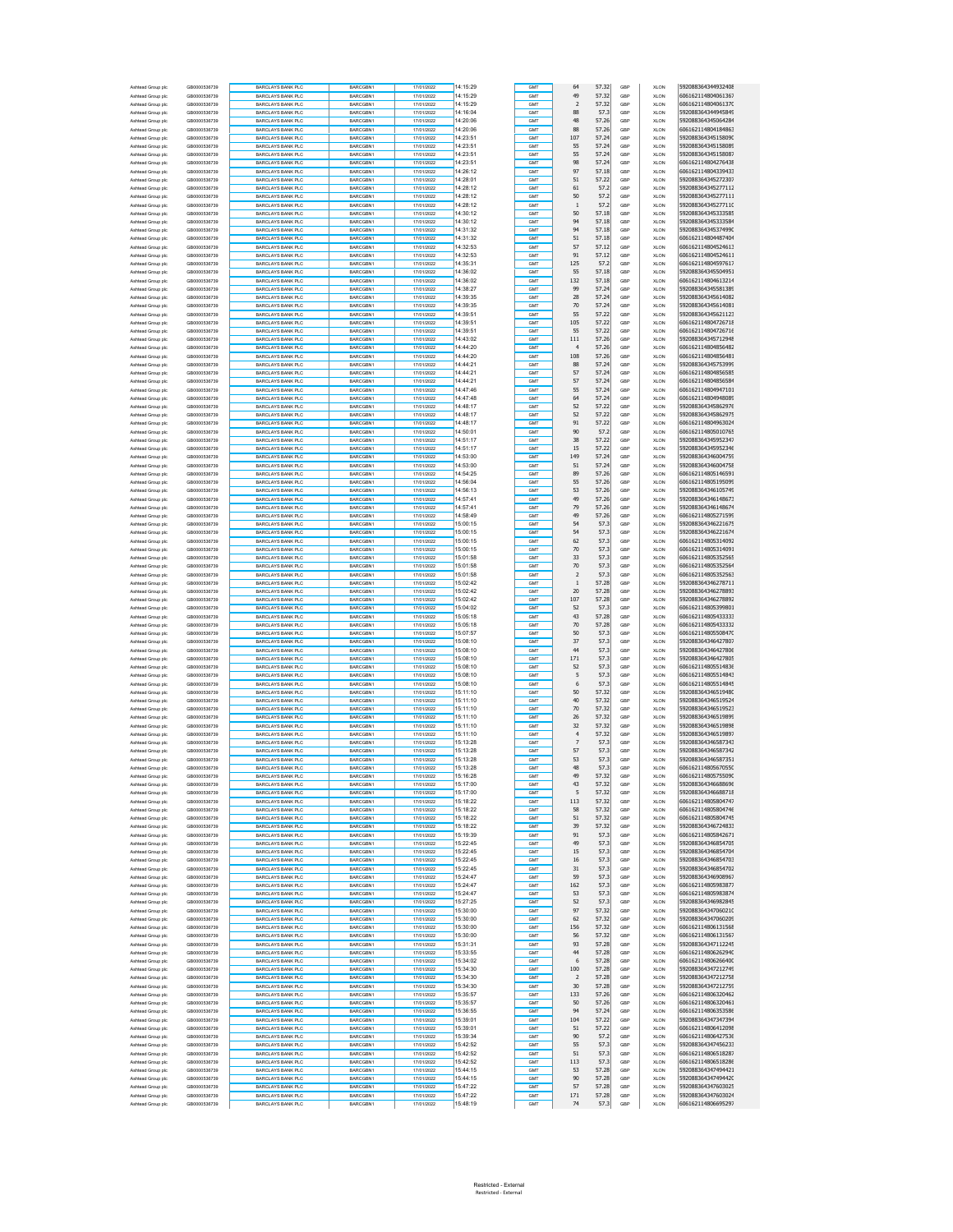| Ashtead Group plo                      | GB0000536739                 | BARCLAYS BANK PLC                                    | BARCGBN1             | 17/01/2022               | 14:15:29             | GMT        | 64                   | 57.32          | GBP        | <b>XLON</b>                | 592088364344932408                       |
|----------------------------------------|------------------------------|------------------------------------------------------|----------------------|--------------------------|----------------------|------------|----------------------|----------------|------------|----------------------------|------------------------------------------|
| Ashtead Group plc                      | GB0000536739                 | <b>BARCLAYS BANK PLC</b>                             | BARCGBN1             | 17/01/2022               | 14:15:29             | GMT        | 49                   | 57.32          | GBP        | <b>XLON</b>                | 606162114804061367                       |
| Ashtead Group plc                      | GB0000536739                 | <b>BARCLAYS BANK PLC</b>                             | BARCGBN1             | 17/01/2022               | 14:15:29             | GMT        | $\sqrt{2}$           | 57.32          | GBP        | <b>XLON</b>                | 606162114804061370                       |
| Ashtead Group plc                      | GB0000536739                 | <b>BARCLAYS BANK PLC</b>                             | BARCGBN1             | 17/01/2022               | 14:16:04             | GMT        | 88                   | 57.3           | GBP        | <b>XLON</b>                | 592088364344945849                       |
| Ashtead Group plc                      | GB0000536739                 | <b>BARCLAYS BANK PLC</b>                             | BARCGBN1             | 17/01/2022               | 14:20:06             | GMT        | 48                   | 57.26          | GBP        | XLON                       | 592088364345064284                       |
| Ashtead Group plc                      | GB0000536739                 | BARCLAYS BANK PLC                                    | BARCGBN1             | 17/01/2022               | 14:20:06             | GMT        | 88                   | 57.26          | GBP        | XLON                       | 606162114804184863                       |
| Ashtead Group plc                      | GB0000536739                 | <b>BARCLAYS BANK PLC</b>                             | BARCGBN1             | 17/01/2022               | 14:23:51             | GMT        | 107                  | 57.24          | GBP        | <b>XLON</b>                | 592088364345158090                       |
| Ashtead Group plc                      | GB0000536739<br>GB0000536739 | <b>BARCLAYS BANK PLC</b><br><b>BARCLAYS BANK PLC</b> | BARCGBN1<br>BARCGBN1 | 17/01/2022<br>17/01/2022 | 14:23:51<br>14:23:51 | GMT<br>GMT | 55<br>55             | 57.24<br>57.24 | GBP<br>GBP | <b>XLON</b><br><b>XLON</b> | 592088364345158089<br>592088364345158087 |
| Ashtead Group plc<br>Ashtead Group plc | GB0000536739                 | <b>BARCLAYS BANK PLC</b>                             | BARCGBN1             | 17/01/2022               | 14:23:51             | GMT        | 98                   | 57.24          | GBP        | <b>XLON</b>                | 606162114804276438                       |
| Ashtead Group plc                      | GB0000536739                 | BARCLAYS BANK PLC                                    | BARCGBN1             | 17/01/2022               | 14:26:12             | GMT        | 97                   | 57.18          | GBP        | <b>XLON</b>                | 606162114804339433                       |
| Ashtead Group plc                      | GB0000536739                 | <b>BARCLAYS BANK PLC</b>                             | BARCGBN1             | 17/01/2022               | 14:28:01             | GMT        | 51                   | 57.22          | GBP        | <b>XLON</b>                | 592088364345272307                       |
| Ashtead Group plc                      | GB0000536739                 | <b>BARCLAYS BANK PLC</b>                             | BARCGBN1             | 17/01/2022               | 14:28:12             | GMT        | 61                   | 57.2           | GBF        | <b>XLON</b>                | 592088364345277112                       |
| Ashtead Group plc                      | GB0000536739                 | <b>BARCLAYS BANK PLC</b>                             | BARCGBN1             | 17/01/2022               | 14:28:12             | GMT        | 50                   | 57.2           | GBP        | <b>XLON</b>                | 592088364345277111                       |
| Ashtead Group plc                      | GB0000536739                 | <b>BARCLAYS BANK PLC</b>                             | BARCGBN1             | 17/01/2022               | 14:28:12             | GMT        | $\overline{1}$       | 57.2           | GBP        | <b>XLON</b>                | 592088364345277110                       |
| Ashtead Group plc                      | GB0000536739                 | BARCLAYS BANK PLC                                    | BARCGBN1             | 17/01/2022               | 14:30:12             | GMT        | 50                   | 57.18          | GBP        | XLON                       | 592088364345333585                       |
| Ashtead Group plc                      | GB0000536739                 | <b>BARCLAYS BANK PLC</b>                             | BARCGBN1             | 17/01/2022               | 14:30:12             | GMT        | 94                   | 57.18          | GBP        | <b>XLON</b>                | 592088364345333584                       |
| Ashtead Group plc                      | GB0000536739                 | <b>BARCLAYS BANK PLC</b>                             | BARCGBN1             | 17/01/2022               | 14:31:32             | GMT        | 94                   | 57.18          | GBP        | <b>XLON</b>                | 592088364345374990                       |
| Ashtead Group plc                      | GB0000536739                 | <b>BARCLAYS BANK PLC</b>                             | BARCGBN1             | 17/01/2022               | 14:31:32             | GMT        | 51                   | 57.18          | GBP        | <b>XLON</b>                | 606162114804487404                       |
| Ashtead Group plc                      | GB0000536739                 | <b>BARCLAYS BANK PLC</b>                             | BARCGBN1             | 17/01/2022               | 14:32:53             | GMT        | 57                   | 57.12          | GBP        | <b>XLON</b>                | 606162114804524613                       |
| Ashtead Group plc                      | GB0000536739                 | BARCLAYS BANK PLC                                    | BARCGBN1             | 17/01/2022               | 14:32:53             | GMT        | 91                   | 57.12          | GBP        | <b>XLON</b>                | 606162114804524611                       |
| Ashtead Group plc<br>Ashtead Group plc | GB0000536739<br>GB0000536739 | <b>BARCLAYS BANK PLC</b><br><b>BARCLAYS BANK PLC</b> | BARCGBN1<br>BARCGBN1 | 17/01/2022<br>17/01/2022 | 14:35:31<br>14:36:02 | GMT<br>GMT | 125<br>55            | 57.2<br>57.18  | GBP<br>GBF | <b>XLON</b><br><b>XLON</b> | 606162114804597617<br>592088364345504951 |
| Ashtead Group plc                      | GB0000536739                 | <b>BARCLAYS BANK PLC</b>                             | BARCGBN1             | 17/01/2022               | 14:36:02             | GMT        | 132                  | 57.18          | GBP        | <b>XLON</b>                | 606162114804613214                       |
| Ashtead Group plc                      | GB0000536739                 | <b>BARCLAYS BANK PLC</b>                             | BARCGBN1             | 17/01/2022               | 14:38:27             | GMT        | 99                   | 57.24          | GBP        | <b>XLON</b>                | 592088364345581389                       |
| Ashtead Group plc                      | GB0000536739                 | BARCLAYS BANK PLC                                    | BARCGBN1             | 17/01/2022               | 14:39:35             | GMT        | 28                   | 57.24          | GBP        | XLON                       | 592088364345614082                       |
| Ashtead Group plc                      | GB0000536739                 | <b>BARCLAYS BANK PLC</b>                             | BARCGBN1             | 17/01/2022               | 14:39:35             | GMT        | 70                   | 57.24          | GBP        | <b>XLON</b>                | 592088364345614081                       |
| Ashtead Group plc                      | GB0000536739                 | <b>BARCLAYS BANK PLC</b>                             | BARCGBN1             | 17/01/2022               | 14:39:51             | GMT        | 55                   | 57.22          | GBP        | <b>XLON</b>                | 592088364345621123                       |
| Ashtead Group plc                      | GB0000536739                 | <b>BARCLAYS BANK PLC</b>                             | BARCGBN1             | 17/01/2022               | 14:39:51             | GMT        | 105                  | 57.22          | GBP        | <b>XLON</b>                | 606162114804726718                       |
| Ashtead Group plc                      | GB0000536739                 | <b>BARCLAYS BANK PLC</b>                             | BARCGBN1             | 17/01/2022               | 14:39:51             | GMT        | 55                   | 57.22          | GBP        | <b>XLON</b>                | 606162114804726716                       |
| Ashtead Group plc                      | GB0000536739                 | BARCLAYS BANK PLC                                    | BARCGBN1             | 17/01/2022               | 14:43:02             | GMT        | 111                  | 57.26          | GBP        | <b>XLON</b>                | 592088364345712948                       |
| Ashtead Group plc                      | GB0000536739                 | <b>BARCLAYS BANK PLC</b>                             | BARCGBN1             | 17/01/2022               | 14:44:20             | GMT        | $\overline{4}$       | 57.26          | GBP        | <b>XLON</b>                | 606162114804856482                       |
| Ashtead Group plc                      | GB0000536739                 | <b>BARCLAYS BANK PLC</b>                             | BARCGBN1             | 17/01/2022               | 14:44:20             | GMT        | 108                  | 57.26          | GBF        | <b>XLON</b>                | 606162114804856481                       |
| Ashtead Group plc                      | GB0000536739                 | <b>BARCLAYS BANK PLC</b>                             | BARCGBN1             | 17/01/2022               | 14:44:21             | GMT        | 88                   | 57.24          | GBP        | <b>XLON</b>                | 592088364345753999                       |
| Ashtead Group plc                      | GB0000536739                 | <b>BARCLAYS BANK PLC</b>                             | BARCGBN1             | 17/01/2022               | 14:44:21             | GMT        | 57                   | 57.24          | GBP        | <b>XLON</b>                | 606162114804856585<br>606162114804856584 |
| Ashtead Group plc<br>Ashtead Group plc | GB0000536739<br>GB0000536739 | <b>BARCLAYS BANK PLC</b><br><b>BARCLAYS BANK PLC</b> | BARCGBN1<br>BARCGBN1 | 17/01/2022<br>17/01/2022 | 14:44:21<br>14:47:46 | GMT<br>GMT | 57<br>55             | 57.24<br>57.24 | GBP<br>GBP | XLON<br><b>XLON</b>        | 606162114804947101                       |
| Ashtead Group plc                      | GB0000536739                 | <b>BARCLAYS BANK PLC</b>                             | BARCGBN1             | 17/01/2022               | 14:47:48             | GMT        | 64                   | 57.24          | GBP        | <b>XLON</b>                | 606162114804948089                       |
| Ashtead Group plc                      | GB0000536739                 | <b>BARCLAYS BANK PLC</b>                             | BARCGBN1             | 17/01/2022               | 14:48:17             | GMT        | 52                   | 57.22          | GBP        | <b>XLON</b>                | 592088364345862976                       |
| Ashtead Group plc                      | GR0000536739                 | <b>BARCLAYS BANK PLC</b>                             | BARCGBN1             | 17/01/2022               | 14:48:17             | GMT        | 52                   | 57.22          | GBP        | <b>XLON</b>                | 592088364345862975                       |
| Ashtead Group plc                      | GB0000536739                 | BARCLAYS BANK PLC                                    | BARCGBN1             | 17/01/2022               | 14:48:17             | GMT        | 91                   | 57.22          | GBP        | <b>XLON</b>                | 606162114804963024                       |
| Ashtead Group plc                      | GB0000536739                 | <b>BARCLAYS BANK PLC</b>                             | BARCGBN1             | 17/01/2022               | 14:50:01             | GMT        | 90                   | 57.2           | GBP        | <b>XLON</b>                | 606162114805010765                       |
| Ashtead Group plc                      | GB0000536739                 | <b>BARCLAYS BANK PLC</b>                             | BARCGBN1             | 17/01/2022               | 14:51:17             | GMT        | 38                   | 57.22          | GBF        | <b>XLON</b>                | 592088364345952347                       |
| Ashtead Group plc                      | GB0000536739                 | <b>BARCLAYS BANK PLC</b>                             | BARCGBN1             | 17/01/2022               | 14:51:17             | GMT        | 15                   | 57.22          | GBP        | <b>XLON</b>                | 592088364345952346                       |
| Ashtead Group plc                      | GB0000536739                 | <b>BARCLAYS BANK PLC</b>                             | BARCGBN1             | 17/01/2022               | 14:53:00             | GMT        | 149                  | 57.24          | GBP        | <b>XLON</b>                | 592088364346004759                       |
| Ashtead Group plc                      | GB0000536739                 | BARCLAYS BANK PLC                                    | BARCGBN1             | 17/01/2022               | 14:53:00             | GMT        | 51                   | 57.24          | GBP        | XLON                       | 592088364346004758                       |
| Ashtead Group plc                      | GB0000536739                 | <b>BARCLAYS BANK PLC</b>                             | BARCGBN1             | 17/01/2022               | 14:54:25             | GMT        | 89                   | 57.26          | GBP        | <b>XLON</b>                | 606162114805146591                       |
| Ashtead Group plc                      | GB0000536739                 | <b>BARCLAYS BANK PLC</b>                             | BARCGBN1             | 17/01/2022               | 14:56:04             | GMT        | 55                   | 57.26          | GBP        | <b>XLON</b>                | 606162114805195099                       |
| Ashtead Group plc                      | GB0000536739<br>GR0000536739 | <b>BARCLAYS BANK PLC</b>                             | BARCGBN1             | 17/01/2022               | 14:56:13<br>14:57:41 | GMT        | 53                   | 57.26          | GBP        | <b>XLON</b>                | 592088364346105749                       |
| Ashtead Group plc<br>Ashtead Group plc | GB0000536739                 | <b>BARCLAYS BANK PLC</b><br>BARCLAYS BANK PLC        | BARCGBN1<br>BARCGBN1 | 17/01/2022<br>17/01/2022 | 14:57:41             | GMT<br>GMT | 49<br>79             | 57.26<br>57.26 | GBP<br>GBP | <b>XLON</b><br><b>XLON</b> | 592088364346148673<br>592088364346148674 |
| Ashtead Group plc                      | GB0000536739                 | <b>BARCLAYS BANK PLC</b>                             | BARCGBN1             | 17/01/2022               | 14:58:49             | GMT        | 49                   | 57.26          | GBP        | <b>XLON</b>                | 606162114805271599                       |
| Ashtead Group plc                      | GB0000536739                 | <b>BARCLAYS BANK PLC</b>                             | BARCGBN1             | 17/01/2022               | 15:00:15             | GMT        | 54                   | 57.3           | GBF        | <b>XLON</b>                | 592088364346221675                       |
| Ashtead Group plc                      | GB0000536739                 | <b>BARCLAYS BANK PLC</b>                             | BARCGBN1             | 17/01/2022               | 15:00:15             | GMT        | 54                   | 57.3           | GBP        | <b>XLON</b>                | 592088364346221674                       |
| Ashtead Group plc                      | GB0000536739                 | <b>BARCLAYS BANK PLC</b>                             | BARCGBN1             | 17/01/2022               | 15:00:15             | GMT        | 62                   | 57.3           | GBP        | <b>XLON</b>                | 606162114805314092                       |
| Ashtead Group plc                      | GB0000536739                 | <b>BARCLAYS BANK PLC</b>                             | BARCGBN1             | 17/01/2022               | 15:00:15             | GMT        | 70                   | 57.3           | GBP        | XLON                       | 606162114805314091                       |
| Ashtead Group plc                      | GB0000536739                 | <b>BARCLAYS BANK PLC</b>                             | BARCGBN1             | 17/01/2022               | 15:01:58             | GMT        | 33                   | 57.3           | GBP        | <b>XLON</b>                | 606162114805352565                       |
| Ashtead Group plc                      | GB0000536739                 | <b>BARCLAYS BANK PLC</b>                             | BARCGBN1             | 17/01/2022               | 15:01:58             | GMT        | 70                   | 57.3           | GBP        | <b>XLON</b>                | 606162114805352564                       |
| Ashtead Group plc                      | GB0000536739                 | <b>BARCLAYS BANK PLC</b>                             | BARCGBN1             | 17/01/2022               | 15:01:58             | GMT        | $\overline{2}$       | 57.3           | GBP        | <b>XLON</b>                | 606162114805352563                       |
| Ashtead Group plc                      | GB0000536739                 | <b>BARCLAYS BANK PLC</b>                             | BARCGBN1             | 17/01/2022               | 15:02:42             | GMT        | $\,1\,$              | 57.28          | GBP        | <b>XLON</b>                | 592088364346278711                       |
| Ashtead Group plc                      | GB0000536739                 | BARCLAYS BANK PLC                                    | BARCGBN1             | 17/01/2022               | 15:02:42             | GMT        | 20                   | 57.28          | GBP        | <b>XLON</b>                | 592088364346278893                       |
| Ashtead Group plc                      | GB0000536739                 | <b>BARCLAYS BANK PLC</b>                             | BARCGBN1             | 17/01/2022               | 15:02:42             | GMT        | 107                  | 57.28          | GBP        | <b>XLON</b>                | 592088364346278892                       |
| Ashtead Group plc                      | GB0000536739<br>GB0000536739 | <b>BARCLAYS BANK PLC</b><br><b>BARCLAYS BANK PLC</b> | BARCGBN1<br>BARCGBN1 | 17/01/2022<br>17/01/2022 | 15:04:02<br>15:05:18 | GMT<br>GMT | 52<br>43             | 57.3<br>57.28  | GBF<br>GBP | <b>XLON</b><br><b>XLON</b> | 606162114805399801<br>606162114805433333 |
| Ashtead Group plc<br>Ashtead Group plc | GB0000536739                 | <b>BARCLAYS BANK PLC</b>                             | BARCGBN1             | 17/01/2022               | 15:05:18             | GMT        | 70                   | 57.28          | GBP        | <b>XLON</b>                | 606162114805433332                       |
| Ashtead Group plc                      | GB0000536739                 | BARCLAYS BANK PLC                                    | BARCGBN1             | 17/01/2022               | 15:07:57             | GMT        | 50                   | 57.3           | GBP        | XLON                       | 606162114805508470                       |
| Ashtead Group plc                      | GB0000536739                 | <b>BARCLAYS BANK PLC</b>                             | BARCGBN1             | 17/01/2022               | 15:08:10             | GMT        | 37                   | 57.3           | GBP        | <b>XLON</b>                | 592088364346427807                       |
| Ashtead Group plc                      | GB0000536739                 | <b>BARCLAYS BANK PLC</b>                             | BARCGBN1             | 17/01/2022               | 15:08:10             | GMT        | 44                   | 57.3           | GBP        | <b>XLON</b>                | 592088364346427806                       |
| Ashtead Group plc                      | GB0000536739                 | <b>BARCLAYS BANK PLC</b>                             | BARCGBN1             | 17/01/2022               | 15:08:10             | GMT        | 171                  | 57.3           | GBP        | <b>XLON</b>                | 592088364346427805                       |
| Ashtead Group plc                      | GB0000536739                 | <b>BARCLAYS BANK PLC</b>                             | BARCGBN1             | 17/01/2022               | 15:08:10             | GMT        | 52                   | 57.3           | GBP        | <b>XLON</b>                | 606162114805514836                       |
| Ashtead Group plc                      | GB0000536739                 | <b>BARCLAYS BANK PLC</b>                             | BARCGBN1             | 17/01/2022               | 15:08:10             | GMT        | 5                    | 57.3           | GBP        | <b>XLON</b>                | 606162114805514843                       |
| Ashtead Group plc                      | GB0000536739                 | <b>BARCLAYS BANK PLC</b>                             | BARCGBN1             | 17/01/2022               | 15:08:10             | GMT        | 6                    | 57.3           | GBP        | <b>XLON</b>                | 606162114805514845                       |
| Ashtead Group plc                      | GB0000536739                 | <b>BARCLAYS BANK PLC</b>                             | BARCGBN1             | 17/01/2022               | 15:11:10             | GMT        | 50                   | 57.32          | GBF        | <b>XLON</b>                | 592088364346519480                       |
| Ashtead Group plc                      | GB0000536739                 | <b>BARCLAYS BANK PLC</b>                             | BARCGBN1             | 17/01/2022               | 15:11:10             | GMT        | 40                   | 57.32          | GBP        | <b>XLON</b>                | 592088364346519524                       |
| Ashtead Group plc                      | GB0000536739                 | <b>BARCLAYS BANK PLC</b>                             | BARCGBN1             | 17/01/2022               | 15:11:10             | GMT        | 70                   | 57.32          | GBP        | <b>XLON</b>                | 592088364346519523                       |
| Ashtead Group plc                      | GB0000536739                 | <b>BARCLAYS BANK PLC</b>                             | BARCGBN1             | 17/01/2022               | 15:11:10             | GMT        | 26                   | 57.32          | GBP        | XLON                       | 592088364346519899                       |
| Ashtead Group plc<br>Ashtead Group plc | GB0000536739<br>GB0000536739 | <b>BARCLAYS BANK PLC</b><br><b>BARCLAYS BANK PLC</b> | BARCGBN1<br>BARCGBN1 | 17/01/2022<br>17/01/2022 | 15:11:10<br>15:11:10 | GMT<br>GMT | 32<br>$\overline{4}$ | 57.32<br>57.32 | GBP<br>GBP | <b>XLON</b><br><b>XLON</b> | 592088364346519898<br>592088364346519897 |
| Ashtead Group plc                      | GB0000536739                 | <b>BARCLAYS BANK PLC</b>                             | BARCGBN1             | 17/01/2022               | 15:13:28             | GMT        | $\overline{7}$       | 57.3           | GBP        | <b>XLON</b>                | 592088364346587343                       |
| Ashtead Group plc                      | GB0000536739                 | <b>BARCLAYS BANK PLC</b>                             | BARCGBN1             | 17/01/2022               | 15:13:28             | GMT        | 57                   | 57.3           | GBF        | <b>XLON</b>                | 592088364346587342                       |
| Ashtead Group plc                      | GB0000536739                 | <b>BARCLAYS BANK PLC</b>                             | BARCGBN1             | 17/01/2022               | 15:13:28             | GMT        | 53                   | 57.3           | GBP        | <b>XLON</b>                | 592088364346587351                       |
| Ashtead Group plc                      | GB0000536739                 | <b>BARCLAYS BANK PLC</b>                             | BARCGBN1             | 17/01/2022               | 15:13:28             | <b>GMT</b> | 48                   | 57.3           | GBP        | <b>XLON</b>                | 606162114805670550                       |
| Ashtead Group plc                      | GB0000536739                 | BARCLAYS BANK PLO                                    | BARCGBN1             | 7/01/2022                | 15:16:28             |            | 49                   | 57.32          | GBP        | <b>XLON</b>                | 606162114805755090                       |
| Ashtead Group plc                      | GB0000536739                 | <b>BARCLAYS BANK PLC</b>                             | BARCGBN1             | 17/01/2022               | 15:17:00             | GMT        | 43                   | 57.32          | GBP        | <b>XLON</b>                | 592088364346688696                       |
| Ashtead Group plc                      | GB0000536739                 | <b>BARCLAYS BANK PLC</b>                             | BARCGBN1             | 17/01/2022               | 15:17:00             | <b>GMT</b> | 5                    | 57.32          | GBP        | XLON                       | 592088364346688718                       |
| Ashtead Group plc                      | GB0000536739                 | <b>BARCLAYS BANK PLC</b>                             | BARCGBN1             | 17/01/2022               | 15:18:22             | <b>GMT</b> | 113                  | 57.32          | GBP        | XLON                       | 606162114805804747                       |
| Ashtead Group plc                      | GB0000536739                 | BARCLAYS BANK PLC                                    | BARCGBN1             | 17/01/2022               | 15:18:22             | GMT        | 58                   | 57.32          | GBP        | <b>XLON</b>                | 606162114805804746                       |
| Ashtead Group plc                      | GB0000536739                 | <b>BARCLAYS BANK PLC</b>                             | BARCGBN1             | 17/01/2022<br>17/01/2022 | 15:18:22             | GMT        | 51                   | 57.32          | GBP        | <b>XLON</b>                | 606162114805804745                       |
| Ashtead Group plc                      | GB0000536739<br>GB0000536739 | <b>BARCLAYS BANK PLC</b><br><b>BARCLAYS BANK PLC</b> | BARCGBN1<br>BARCGBN1 | 17/01/2022               | 15:18:22<br>15:19:39 | GMT<br>GMT | 39<br>91             | 57.32<br>57.3  | GBP<br>GBP | <b>XLON</b>                | 592088364346724833<br>606162114805842671 |
| Ashtead Group plc<br>Ashtead Group plc | GR0000536739                 | <b>BARCLAYS BANK PLC</b>                             | BARCGBN1             | 17/01/2022               | 15:22:45             | GMT        | 49                   | 57.3           | GBP        | XLON<br>XLON               | 592088364346854705                       |
| Ashtead Group plc                      | GB0000536739                 | BARCLAYS BANK PLC                                    | BARCGBN1             | 17/01/2022               | 15:22:45             | GMT        | 15                   | 57.3           | GBP        | <b>XLON</b>                | 592088364346854704                       |
| Ashtead Group plc                      | GB0000536739                 | <b>BARCLAYS BANK PLC</b>                             | BARCGBN1             | 17/01/2022               | 15:22:45             | GMT        | 16                   | 57.3           | GBP        | <b>XLON</b>                | 592088364346854703                       |
| Ashtead Group plc                      | GB0000536739                 | <b>BARCLAYS BANK PLC</b>                             | BARCGBN1             | 17/01/2022               | 15:22:45             | GMT        | 31                   | 57.3           | GBP        | <b>XLON</b>                | 592088364346854702                       |
| Ashtead Group plc                      | GB0000536739                 | <b>BARCLAYS BANK PLC</b>                             | BARCGBN1             | 17/01/2022               | 15:24:47             | GMT        | 59                   | 57.3           | GBP        | XLON                       | 592088364346908967                       |
| Ashtead Group plc                      | GB0000536739                 | BARCLAYS BANK PLC                                    | BARCGBN1             | 17/01/2022               | 15:24:47             | GMT        | 162                  | 57.3           | GBP        | XLON                       | 606162114805983877                       |
| Ashtead Group plc                      | GB0000536739                 | BARCLAYS BANK PLC                                    | BARCGBN1             | 17/01/2022               | 15:24:47             | GMT        | 53                   | 57.3           | GBP        | <b>XLON</b>                | 606162114805983874                       |
| Ashtead Group plc                      | GB0000536739                 | <b>BARCLAYS BANK PLC</b>                             | BARCGBN1             | 17/01/2022               | 15:27:25             | GMT        | 52                   | 57.3           | GBP        | <b>XLON</b>                | 592088364346982845                       |
| Ashtead Group plc                      | GB0000536739                 | <b>BARCLAYS BANK PLC</b>                             | BARCGBN1             | 17/01/2022               | 15:30:00             | GMT        | 97                   | 57.32          | GBP        | <b>XLON</b>                | 592088364347060210                       |
| Ashtead Group plc                      | GB0000536739<br>GR0000536739 | <b>BARCLAYS BANK PLC</b><br><b>BARCLAYS BANK PLC</b> | BARCGBN1<br>BARCGBN1 | 17/01/2022               | 15:30:00<br>15:30:00 | GMT<br>GMT | 62<br>156            | 57.32<br>57.32 | GBP<br>GBP | XLON<br>XLON               | 592088364347060209<br>606162114806131568 |
| Ashtead Group plc<br>Ashtead Group plc | GB0000536739                 | <b>BARCLAYS BANK PLC</b>                             | BARCGBN1             | 17/01/2022<br>17/01/2022 | 15:30:00             | GMT        | 56                   | 57.32          | GBP        | <b>XLON</b>                | 606162114806131567                       |
| Ashtead Group plc                      | GB0000536739                 | <b>BARCLAYS BANK PLC</b>                             | BARCGBN1             | 17/01/2022               | 15:31:31             | GMT        | 93                   | 57.28          | GBP        | <b>XLON</b>                | 592088364347112245                       |
| Ashtead Group plc                      | GB0000536739                 | <b>BARCLAYS BANK PLC</b>                             | BARCGBN1             | 17/01/2022               | 15:33:55             | GMT        | 44                   | 57.28          | GBP        | <b>XLON</b>                | 606162114806262940                       |
| Ashtead Group plc                      | GB0000536739                 | BARCLAYS BANK PLC                                    | BARCGBN1             | 17/01/2022               | 15:34:02             | GMT        | $\,$ 6               | 57.28          | GBP        | XLON                       | 606162114806266400                       |
| Ashtead Group plc                      | GB0000536739                 | BARCLAYS BANK PLC                                    | BARCGBN1             | 17/01/2022               | 15:34:30             | GMT        | 100                  | 57.28          | GBP        | XLON                       | 592088364347212749                       |
| Ashtead Group plc                      | GB0000536739                 | <b>BARCLAYS BANK PLC</b>                             | BARCGBN1             | 17/01/2022               | 15:34:30             | GMT        | $\overline{2}$       | 57.28          | GBP        | <b>XLON</b>                | 592088364347212758                       |
| Ashtead Group plc                      | GB0000536739                 | <b>BARCLAYS BANK PLC</b>                             | BARCGBN1             | 17/01/2022               | 15:34:30             | GMT        | 30                   | 57.28          | GBP        | <b>XLON</b>                | 592088364347212759                       |
| Ashtead Group plc                      | GB0000536739                 | <b>BARCLAYS BANK PLC</b>                             | BARCGBN1             | 17/01/2022               | 15:35:57             | GMT        | 133                  | 57.26          | GBP        | <b>XLON</b>                | 606162114806320462                       |
| Ashtead Group plc                      | GB0000536739                 | <b>BARCLAYS BANK PLC</b>                             | BARCGBN1             | 17/01/2022               | 15:35:57             | GMT        | 50                   | 57.26          | GBP        | XLON                       | 606162114806320461                       |
| Ashtead Group plc                      | GB0000536739                 | <b>BARCLAYS BANK PLC</b>                             | BARCGBN1             | 17/01/2022               | 15:36:55             | <b>GMT</b> | 94                   | 57.24          | GBP        | XLON                       | 606162114806353586                       |
| Ashtead Group plc                      | GB0000536739                 | <b>BARCLAYS BANK PLC</b>                             | BARCGBN1             | 17/01/2022               | 15:39:01             | GMT        | 104                  | 57.22          | GBP        | <b>XLON</b>                | 592088364347347394                       |
| Ashtead Group plc<br>Ashtead Group plc | GB0000536739<br>GB0000536739 | <b>BARCLAYS BANK PLC</b><br><b>BARCLAYS BANK PLC</b> | BARCGBN1<br>BARCGBN1 | 17/01/2022<br>17/01/2022 | 15:39:01<br>15:39:34 | GMT<br>GMT | 51<br>90             | 57.22<br>57.2  | GBP<br>GBP | <b>XLON</b><br><b>XLON</b> | 606162114806412098<br>606162114806427536 |
| Ashtead Group plc                      | GB0000536739                 | <b>BARCLAYS BANK PLC</b>                             | BARCGBN1             | 17/01/2022               | 15:42:52             | GMT        | 55                   | 57.3           | GBP        | XLON                       | 592088364347456233                       |
| Ashtead Group plc                      | GB0000536739                 | BARCLAYS BANK PLC                                    | BARCGBN1             | 17/01/2022               | 15:42:52             | GMT        | 51                   | 57.3           | GBP        | XLON                       | 606162114806518287                       |
| Ashtead Group plc                      | GB0000536739                 | <b>BARCLAYS BANK PLC</b>                             | BARCGBN1             | 17/01/2022               | 15:42:52             | GMT        | 113                  | 57.3           | GBP        | <b>XLON</b>                | 606162114806518286                       |
| Ashtead Group plc                      | GB0000536739                 | <b>BARCLAYS BANK PLC</b>                             | BARCGBN1             | 17/01/2022               | 15:44:15             | GMT        | 53                   | 57.28          | GBP        | <b>XLON</b>                | 592088364347494421                       |
| Ashtead Group plc                      | GB0000536739                 | <b>BARCLAYS BANK PLC</b>                             | BARCGBN1             | 17/01/2022               | 15:44:15             | GMT        | 90                   | 57.28          | GBP        | <b>XLON</b>                | 592088364347494420                       |
| Ashtead Group plc                      | GB0000536739                 | <b>BARCLAYS BANK PLC</b>                             | BARCGBN1             | 17/01/2022               | 15:47:22             | GMT        | 57                   | 57.28          | GBP        | XLON                       | 592088364347603025                       |
| Ashtead Group plo                      | GB0000536739                 | <b>BARCLAYS BANK PLC</b>                             | BARCGBN1             | 17/01/2022               | 15:47:22             | <b>GMT</b> | 171                  | 57.28          | GBP        | <b>XLON</b>                | 592088364347603024                       |
| Ashtead Group plc                      | GB0000536739                 | <b>BARCLAYS BANK PLC</b>                             | BARCGBN1             | 17/01/2022               | 15:48:19             | <b>GMT</b> | 74                   | 57.3           | GBP        | <b>XLON</b>                | 606162114806695297                       |